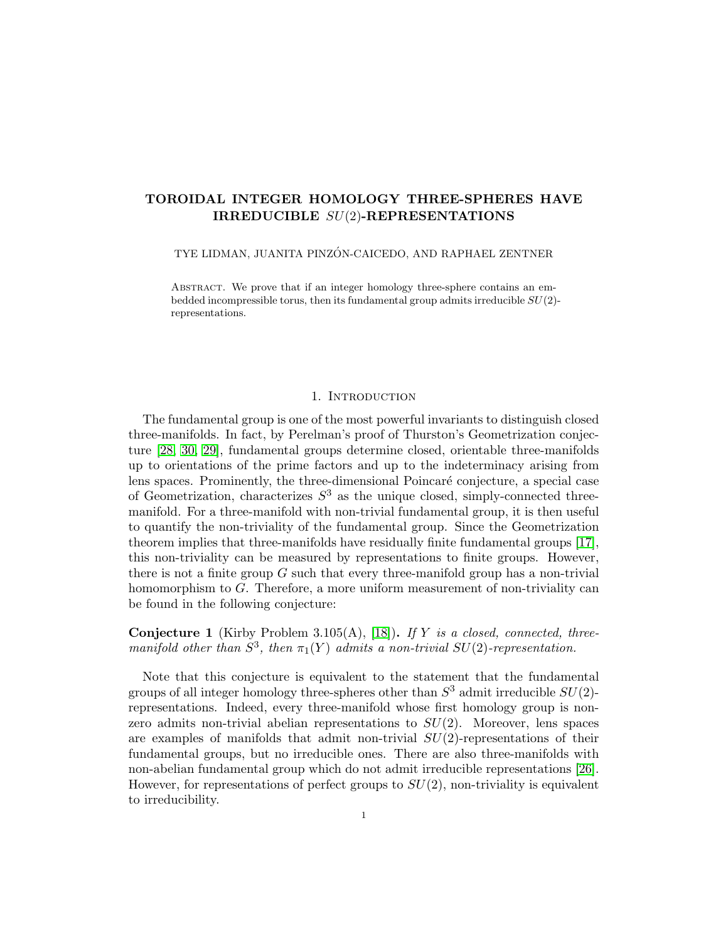# TOROIDAL INTEGER HOMOLOGY THREE-SPHERES HAVE IRREDUCIBLE SU(2)-REPRESENTATIONS

TYE LIDMAN, JUANITA PINZÓN-CAICEDO, AND RAPHAEL ZENTNER

ABSTRACT. We prove that if an integer homology three-sphere contains an embedded incompressible torus, then its fundamental group admits irreducible  $SU(2)$ representations.

### 1. INTRODUCTION

The fundamental group is one of the most powerful invariants to distinguish closed three-manifolds. In fact, by Perelman's proof of Thurston's Geometrization conjecture [\[28,](#page-25-0) [30,](#page-25-1) [29\]](#page-25-2), fundamental groups determine closed, orientable three-manifolds up to orientations of the prime factors and up to the indeterminacy arising from lens spaces. Prominently, the three-dimensional Poincaré conjecture, a special case of Geometrization, characterizes  $S<sup>3</sup>$  as the unique closed, simply-connected threemanifold. For a three-manifold with non-trivial fundamental group, it is then useful to quantify the non-triviality of the fundamental group. Since the Geometrization theorem implies that three-manifolds have residually finite fundamental groups [\[17\]](#page-24-0), this non-triviality can be measured by representations to finite groups. However, there is not a finite group  $G$  such that every three-manifold group has a non-trivial homomorphism to G. Therefore, a more uniform measurement of non-triviality can be found in the following conjecture:

<span id="page-0-0"></span>**Conjecture 1** (Kirby Problem 3.105(A), [\[18\]](#page-24-1)). If Y is a closed, connected, threemanifold other than  $S^3$ , then  $\pi_1(Y)$  admits a non-trivial  $SU(2)$ -representation.

Note that this conjecture is equivalent to the statement that the fundamental groups of all integer homology three-spheres other than  $S^3$  admit irreducible  $SU(2)$ representations. Indeed, every three-manifold whose first homology group is nonzero admits non-trivial abelian representations to  $SU(2)$ . Moreover, lens spaces are examples of manifolds that admit non-trivial  $SU(2)$ -representations of their fundamental groups, but no irreducible ones. There are also three-manifolds with non-abelian fundamental group which do not admit irreducible representations [\[26\]](#page-25-3). However, for representations of perfect groups to  $SU(2)$ , non-triviality is equivalent to irreducibility.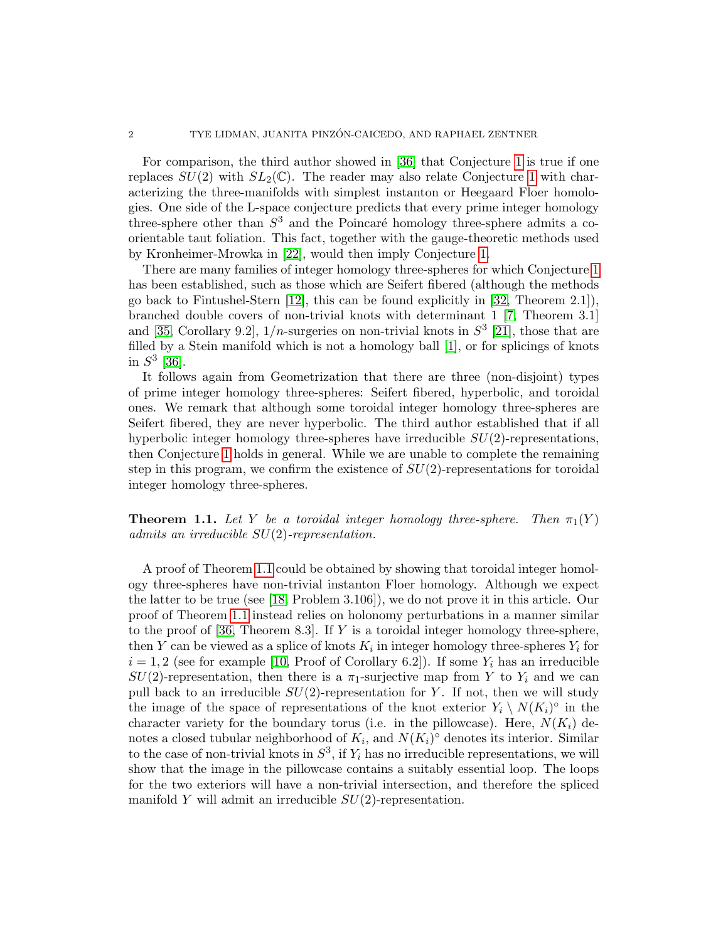For comparison, the third author showed in [\[36\]](#page-25-4) that Conjecture [1](#page-0-0) is true if one replaces  $SU(2)$  with  $SL_2(\mathbb{C})$ . The reader may also relate Conjecture [1](#page-0-0) with characterizing the three-manifolds with simplest instanton or Heegaard Floer homologies. One side of the L-space conjecture predicts that every prime integer homology three-sphere other than  $S<sup>3</sup>$  and the Poincaré homology three-sphere admits a coorientable taut foliation. This fact, together with the gauge-theoretic methods used by Kronheimer-Mrowka in [\[22\]](#page-24-2), would then imply Conjecture [1.](#page-0-0)

There are many families of integer homology three-spheres for which Conjecture [1](#page-0-0) has been established, such as those which are Seifert fibered (although the methods go back to Fintushel-Stern [\[12\]](#page-24-3), this can be found explicitly in [\[32,](#page-25-5) Theorem 2.1]), branched double covers of non-trivial knots with determinant 1 [\[7,](#page-24-4) Theorem 3.1] and [\[35,](#page-25-6) Corollary 9.2],  $1/n$ -surgeries on non-trivial knots in  $S^3$  [\[21\]](#page-24-5), those that are filled by a Stein manifold which is not a homology ball [\[1\]](#page-24-6), or for splicings of knots in  $S^3$  [\[36\]](#page-25-4).

It follows again from Geometrization that there are three (non-disjoint) types of prime integer homology three-spheres: Seifert fibered, hyperbolic, and toroidal ones. We remark that although some toroidal integer homology three-spheres are Seifert fibered, they are never hyperbolic. The third author established that if all hyperbolic integer homology three-spheres have irreducible  $SU(2)$ -representations, then Conjecture [1](#page-0-0) holds in general. While we are unable to complete the remaining step in this program, we confirm the existence of  $SU(2)$ -representations for toroidal integer homology three-spheres.

<span id="page-1-0"></span>**Theorem 1.1.** Let Y be a toroidal integer homology three-sphere. Then  $\pi_1(Y)$ admits an irreducible SU(2)-representation.

A proof of Theorem [1.1](#page-1-0) could be obtained by showing that toroidal integer homology three-spheres have non-trivial instanton Floer homology. Although we expect the latter to be true (see [\[18,](#page-24-1) Problem 3.106]), we do not prove it in this article. Our proof of Theorem [1.1](#page-1-0) instead relies on holonomy perturbations in a manner similar to the proof of  $[36,$  Theorem 8.3. If Y is a toroidal integer homology three-sphere, then Y can be viewed as a splice of knots  $K_i$  in integer homology three-spheres  $Y_i$  for  $i = 1, 2$  (see for example [\[10,](#page-24-7) Proof of Corollary 6.2]). If some  $Y_i$  has an irreducible  $SU(2)$ -representation, then there is a  $\pi_1$ -surjective map from Y to  $Y_i$  and we can pull back to an irreducible  $SU(2)$ -representation for Y. If not, then we will study the image of the space of representations of the knot exterior  $Y_i \setminus N(K_i)^\circ$  in the character variety for the boundary torus (i.e. in the pillowcase). Here,  $N(K_i)$  denotes a closed tubular neighborhood of  $K_i$ , and  $N(K_i)^\circ$  denotes its interior. Similar to the case of non-trivial knots in  $S^3$ , if  $Y_i$  has no irreducible representations, we will show that the image in the pillowcase contains a suitably essential loop. The loops for the two exteriors will have a non-trivial intersection, and therefore the spliced manifold Y will admit an irreducible  $SU(2)$ -representation.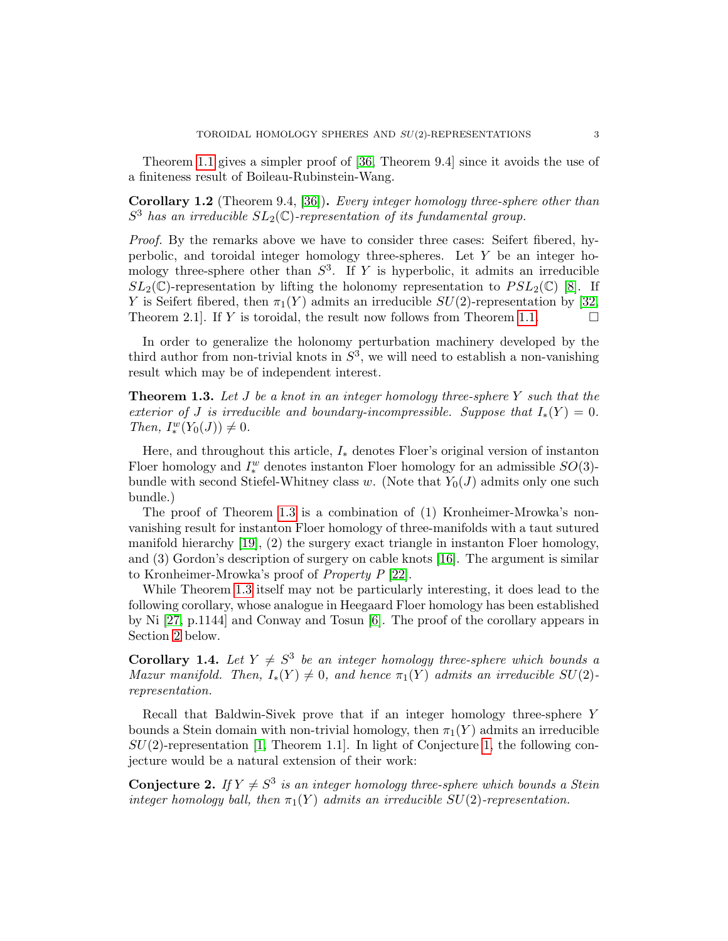Theorem [1.1](#page-1-0) gives a simpler proof of [\[36,](#page-25-4) Theorem 9.4] since it avoids the use of a finiteness result of Boileau-Rubinstein-Wang.

Corollary 1.2 (Theorem 9.4, [\[36\]](#page-25-4)). Every integer homology three-sphere other than  $S^3$  has an irreducible  $SL_2(\mathbb{C})$ -representation of its fundamental group.

Proof. By the remarks above we have to consider three cases: Seifert fibered, hyperbolic, and toroidal integer homology three-spheres. Let Y be an integer homology three-sphere other than  $S^3$ . If Y is hyperbolic, it admits an irreducible  $SL_2(\mathbb{C})$ -representation by lifting the holonomy representation to  $PSL_2(\mathbb{C})$  [\[8\]](#page-24-8). If Y is Seifert fibered, then  $\pi_1(Y)$  admits an irreducible  $SU(2)$ -representation by [\[32,](#page-25-5) Theorem 2.1. If Y is toroidal, the result now follows from Theorem [1.1.](#page-1-0)  $\Box$ 

In order to generalize the holonomy perturbation machinery developed by the third author from non-trivial knots in  $S^3$ , we will need to establish a non-vanishing result which may be of independent interest.

<span id="page-2-0"></span>**Theorem 1.3.** Let J be a knot in an integer homology three-sphere Y such that the exterior of J is irreducible and boundary-incompressible. Suppose that  $I_*(Y) = 0$ . Then,  $I^w_*(Y_0(J)) \neq 0$ .

Here, and throughout this article,  $I_*$  denotes Floer's original version of instanton Floer homology and  $I^w_*$  denotes instanton Floer homology for an admissible  $SO(3)$ bundle with second Stiefel-Whitney class w. (Note that  $Y_0(J)$  admits only one such bundle.)

The proof of Theorem [1.3](#page-2-0) is a combination of (1) Kronheimer-Mrowka's nonvanishing result for instanton Floer homology of three-manifolds with a taut sutured manifold hierarchy [\[19\]](#page-24-9), (2) the surgery exact triangle in instanton Floer homology, and (3) Gordon's description of surgery on cable knots [\[16\]](#page-24-10). The argument is similar to Kronheimer-Mrowka's proof of Property P [\[22\]](#page-24-2).

While Theorem [1.3](#page-2-0) itself may not be particularly interesting, it does lead to the following corollary, whose analogue in Heegaard Floer homology has been established by Ni [\[27,](#page-25-7) p.1144] and Conway and Tosun [\[6\]](#page-24-11). The proof of the corollary appears in Section [2](#page-4-0) below.

<span id="page-2-1"></span>**Corollary 1.4.** Let  $Y \neq S^3$  be an integer homology three-sphere which bounds a Mazur manifold. Then,  $I_*(Y) \neq 0$ , and hence  $\pi_1(Y)$  admits an irreducible  $SU(2)$ representation.

Recall that Baldwin-Sivek prove that if an integer homology three-sphere Y bounds a Stein domain with non-trivial homology, then  $\pi_1(Y)$  admits an irreducible  $SU(2)$ -representation [\[1,](#page-24-6) Theorem 1.1]. In light of Conjecture [1,](#page-0-0) the following conjecture would be a natural extension of their work:

**Conjecture 2.** If  $Y \neq S^3$  is an integer homology three-sphere which bounds a Stein integer homology ball, then  $\pi_1(Y)$  admits an irreducible  $SU(2)$ -representation.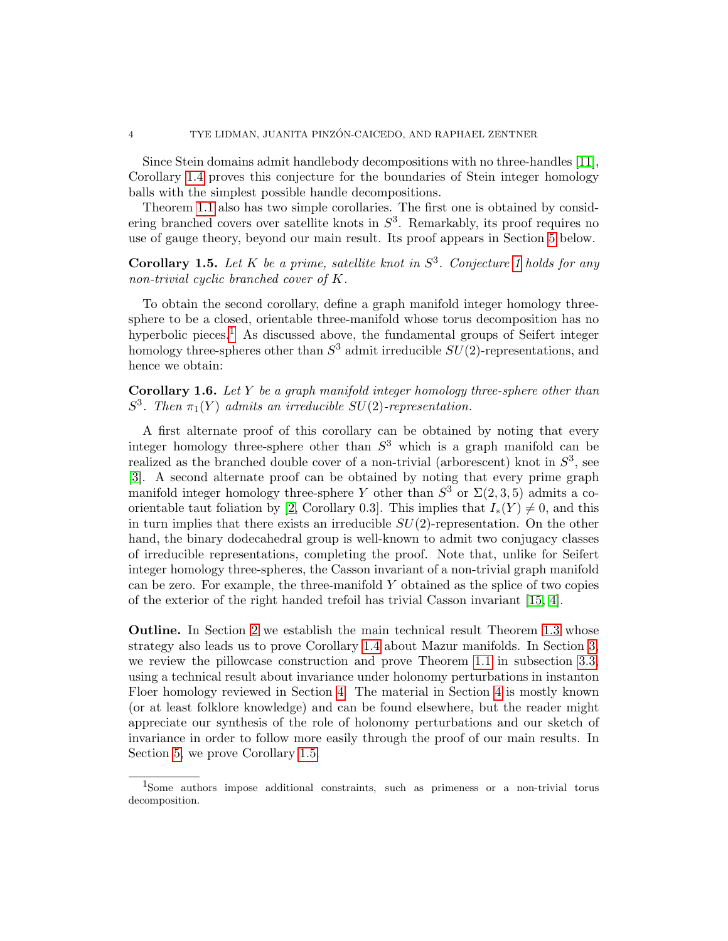Since Stein domains admit handlebody decompositions with no three-handles [\[11\]](#page-24-12), Corollary [1.4](#page-2-1) proves this conjecture for the boundaries of Stein integer homology balls with the simplest possible handle decompositions.

Theorem [1.1](#page-1-0) also has two simple corollaries. The first one is obtained by considering branched covers over satellite knots in  $S^3$ . Remarkably, its proof requires no use of gauge theory, beyond our main result. Its proof appears in Section [5](#page-22-0) below.

<span id="page-3-1"></span>**Corollary [1](#page-0-0).5.** Let K be a prime, satellite knot in  $S^3$ . Conjecture 1 holds for any non-trivial cyclic branched cover of K.

To obtain the second corollary, define a graph manifold integer homology threesphere to be a closed, orientable three-manifold whose torus decomposition has no hyperbolic pieces.<sup>[1](#page-3-0)</sup> As discussed above, the fundamental groups of Seifert integer homology three-spheres other than  $S^3$  admit irreducible  $SU(2)$ -representations, and hence we obtain:

**Corollary 1.6.** Let Y be a graph manifold integer homology three-sphere other than  $S^3$ . Then  $\pi_1(Y)$  admits an irreducible SU(2)-representation.

A first alternate proof of this corollary can be obtained by noting that every integer homology three-sphere other than  $S^3$  which is a graph manifold can be realized as the branched double cover of a non-trivial (arborescent) knot in  $S^3$ , see [\[3\]](#page-24-13). A second alternate proof can be obtained by noting that every prime graph manifold integer homology three-sphere Y other than  $S^3$  or  $\Sigma(2,3,5)$  admits a co-orientable taut foliation by [\[2,](#page-24-14) Corollary 0.3]. This implies that  $I_*(Y) \neq 0$ , and this in turn implies that there exists an irreducible  $SU(2)$ -representation. On the other hand, the binary dodecahedral group is well-known to admit two conjugacy classes of irreducible representations, completing the proof. Note that, unlike for Seifert integer homology three-spheres, the Casson invariant of a non-trivial graph manifold can be zero. For example, the three-manifold  $Y$  obtained as the splice of two copies of the exterior of the right handed trefoil has trivial Casson invariant [\[15,](#page-24-15) [4\]](#page-24-16).

Outline. In Section [2](#page-4-0) we establish the main technical result Theorem [1.3](#page-2-0) whose strategy also leads us to prove Corollary [1.4](#page-2-1) about Mazur manifolds. In Section [3,](#page-6-0) we review the pillowcase construction and prove Theorem [1.1](#page-1-0) in subsection [3.3,](#page-11-0) using a technical result about invariance under holonomy perturbations in instanton Floer homology reviewed in Section [4.](#page-13-0) The material in Section [4](#page-13-0) is mostly known (or at least folklore knowledge) and can be found elsewhere, but the reader might appreciate our synthesis of the role of holonomy perturbations and our sketch of invariance in order to follow more easily through the proof of our main results. In Section [5,](#page-22-0) we prove Corollary [1.5.](#page-3-1)

<span id="page-3-0"></span><sup>1</sup>Some authors impose additional constraints, such as primeness or a non-trivial torus decomposition.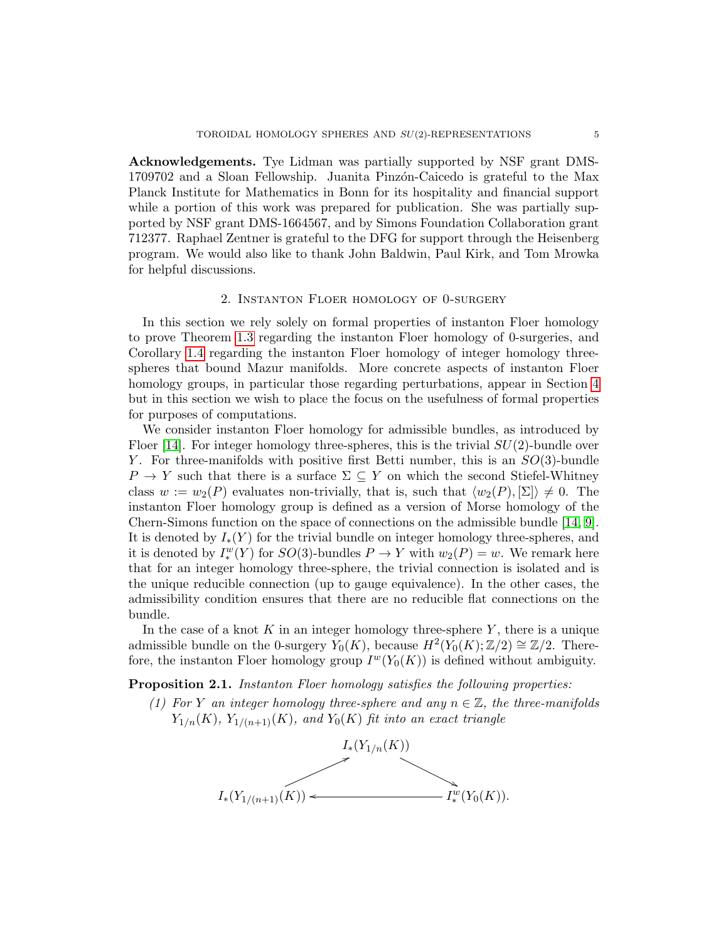Acknowledgements. Tye Lidman was partially supported by NSF grant DMS-1709702 and a Sloan Fellowship. Juanita Pinzón-Caicedo is grateful to the Max Planck Institute for Mathematics in Bonn for its hospitality and financial support while a portion of this work was prepared for publication. She was partially supported by NSF grant DMS-1664567, and by Simons Foundation Collaboration grant 712377. Raphael Zentner is grateful to the DFG for support through the Heisenberg program. We would also like to thank John Baldwin, Paul Kirk, and Tom Mrowka for helpful discussions.

### 2. Instanton Floer homology of 0-surgery

<span id="page-4-0"></span>In this section we rely solely on formal properties of instanton Floer homology to prove Theorem [1.3](#page-2-0) regarding the instanton Floer homology of 0-surgeries, and Corollary [1.4](#page-2-1) regarding the instanton Floer homology of integer homology threespheres that bound Mazur manifolds. More concrete aspects of instanton Floer homology groups, in particular those regarding perturbations, appear in Section [4](#page-13-0) but in this section we wish to place the focus on the usefulness of formal properties for purposes of computations.

We consider instanton Floer homology for admissible bundles, as introduced by Floer [\[14\]](#page-24-17). For integer homology three-spheres, this is the trivial  $SU(2)$ -bundle over Y. For three-manifolds with positive first Betti number, this is an  $SO(3)$ -bundle  $P \to Y$  such that there is a surface  $\Sigma \subseteq Y$  on which the second Stiefel-Whitney class  $w := w_2(P)$  evaluates non-trivially, that is, such that  $\langle w_2(P), \Sigma \rangle \neq 0$ . The instanton Floer homology group is defined as a version of Morse homology of the Chern-Simons function on the space of connections on the admissible bundle [\[14,](#page-24-17) [9\]](#page-24-18). It is denoted by  $I_*(Y)$  for the trivial bundle on integer homology three-spheres, and it is denoted by  $I^w_*(Y)$  for  $SO(3)$ -bundles  $P \to Y$  with  $w_2(P) = w$ . We remark here that for an integer homology three-sphere, the trivial connection is isolated and is the unique reducible connection (up to gauge equivalence). In the other cases, the admissibility condition ensures that there are no reducible flat connections on the bundle.

In the case of a knot K in an integer homology three-sphere Y, there is a unique admissible bundle on the 0-surgery  $Y_0(K)$ , because  $H^2(Y_0(K);\mathbb{Z}/2) \cong \mathbb{Z}/2$ . Therefore, the instanton Floer homology group  $I^w(Y_0(K))$  is defined without ambiguity.

<span id="page-4-2"></span><span id="page-4-1"></span>Proposition 2.1. Instanton Floer homology satisfies the following properties:

(1) For Y an integer homology three-sphere and any  $n \in \mathbb{Z}$ , the three-manifolds  $Y_{1/n}(K)$ ,  $Y_{1/(n+1)}(K)$ , and  $Y_0(K)$  fit into an exact triangle

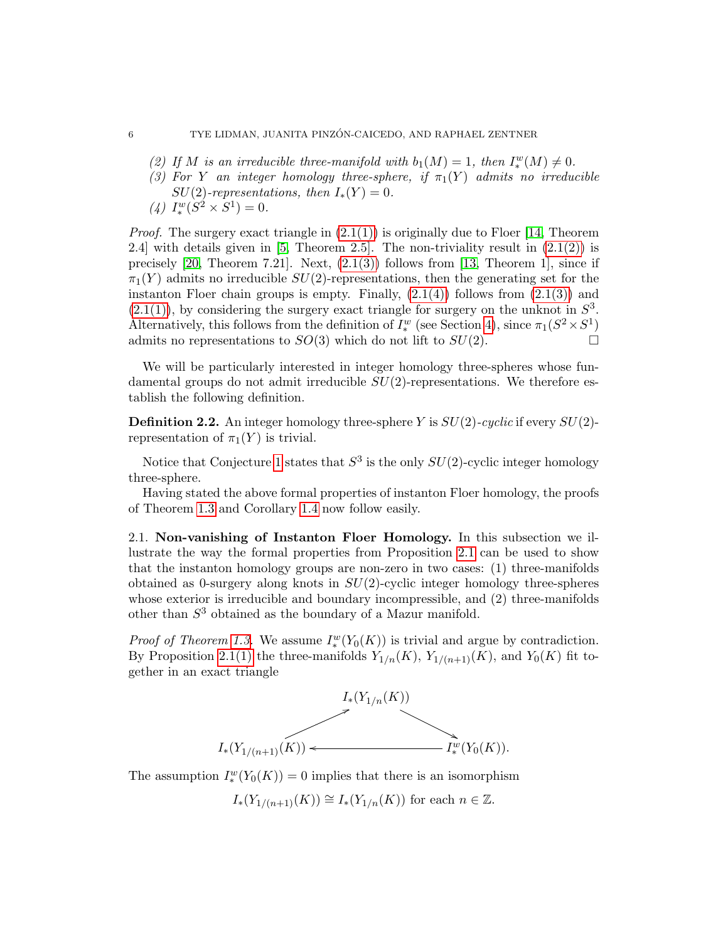- <span id="page-5-0"></span>(2) If M is an irreducible three-manifold with  $b_1(M) = 1$ , then  $I^w_*(M) \neq 0$ .
- <span id="page-5-1"></span>(3) For Y an integer homology three-sphere, if  $\pi_1(Y)$  admits no irreducible  $SU(2)$ -representations, then  $I_*(Y) = 0$ .
- <span id="page-5-2"></span>(4)  $I_*^w(S^2 \times S^1) = 0.$

*Proof.* The surgery exact triangle in  $(2.1(1))$  is originally due to Floer [\[14,](#page-24-17) Theorem 2.4] with details given in  $[5,$  Theorem 2.5]. The non-triviality result in  $(2.1(2))$  is precisely  $[20,$  Theorem 7.21]. Next,  $(2.1(3))$  follows from [\[13,](#page-24-21) Theorem 1], since if  $\pi_1(Y)$  admits no irreducible  $SU(2)$ -representations, then the generating set for the instanton Floer chain groups is empty. Finally,  $(2.1(4))$  follows from  $(2.1(3))$  and  $(2.1(1))$ , by considering the surgery exact triangle for surgery on the unknot in  $S<sup>3</sup>$ . Alternatively, this follows from the definition of  $I^w_*$  (see Section [4\)](#page-13-0), since  $\pi_1(S^2 \times S^1)$ admits no representations to  $SO(3)$  which do not lift to  $SU(2)$ .

We will be particularly interested in integer homology three-spheres whose fundamental groups do not admit irreducible  $SU(2)$ -representations. We therefore establish the following definition.

**Definition 2.2.** An integer homology three-sphere Y is  $SU(2)$ -cyclic if every  $SU(2)$ representation of  $\pi_1(Y)$  is trivial.

Notice that Conjecture [1](#page-0-0) states that  $S^3$  is the only  $SU(2)$ -cyclic integer homology three-sphere.

Having stated the above formal properties of instanton Floer homology, the proofs of Theorem [1.3](#page-2-0) and Corollary [1.4](#page-2-1) now follow easily.

2.1. Non-vanishing of Instanton Floer Homology. In this subsection we illustrate the way the formal properties from Proposition [2.1](#page-4-2) can be used to show that the instanton homology groups are non-zero in two cases: (1) three-manifolds obtained as 0-surgery along knots in  $SU(2)$ -cyclic integer homology three-spheres whose exterior is irreducible and boundary incompressible, and (2) three-manifolds other than  $S<sup>3</sup>$  obtained as the boundary of a Mazur manifold.

*Proof of Theorem [1.3.](#page-2-0)* We assume  $I_*^w(Y_0(K))$  is trivial and argue by contradiction. By Proposition [2.1\(1\)](#page-4-1) the three-manifolds  $Y_{1/n}(K)$ ,  $Y_{1/(n+1)}(K)$ , and  $Y_0(K)$  fit together in an exact triangle



The assumption  $I^w_*(Y_0(K)) = 0$  implies that there is an isomorphism

 $I_*(Y_{1/(n+1)}(K)) \cong I_*(Y_{1/n}(K))$  for each  $n \in \mathbb{Z}$ .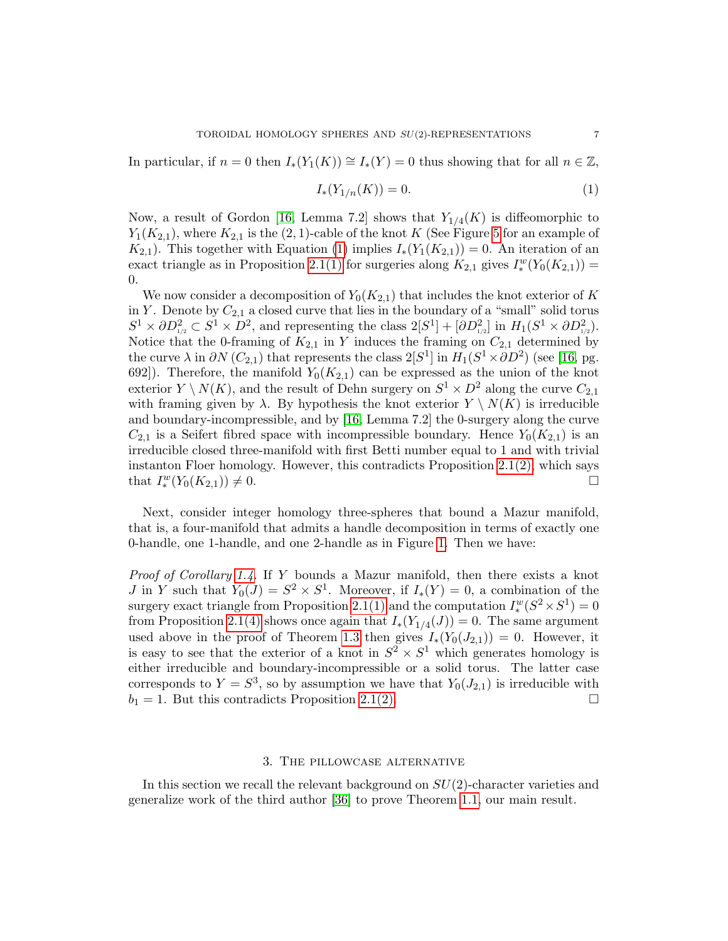In particular, if  $n = 0$  then  $I_*(Y_1(K)) \cong I_*(Y) = 0$  thus showing that for all  $n \in \mathbb{Z}$ ,

<span id="page-6-1"></span>
$$
I_*(Y_{1/n}(K)) = 0.
$$
 (1)

Now, a result of Gordon [\[16,](#page-24-10) Lemma 7.2] shows that  $Y_{1/4}(K)$  is diffeomorphic to  $Y_1(K_{2,1})$ , where  $K_{2,1}$  is the  $(2,1)$ -cable of the knot K (See Figure [5](#page-22-1) for an example of  $K_{2,1}$ ). This together with Equation [\(1\)](#page-6-1) implies  $I_*(Y_1(K_{2,1})) = 0$ . An iteration of an exact triangle as in Proposition [2.1\(1\)](#page-4-1) for surgeries along  $K_{2,1}$  gives  $I_*^w(Y_0(K_{2,1}))$  = 0.

We now consider a decomposition of  $Y_0(K_{2,1})$  that includes the knot exterior of K in Y. Denote by  $C_{2,1}$  a closed curve that lies in the boundary of a "small" solid torus  $S^1 \times \partial D_{1/2}^2 \subset S^1 \times D^2$ , and representing the class  $2[S^1] + [\partial D_{1/2}^2]$  in  $H_1(S^1 \times \partial D_{1/2}^2)$ . Notice that the 0-framing of  $K_{2,1}$  in Y induces the framing on  $C_{2,1}$  determined by the curve  $\lambda$  in  $\partial N(C_{2,1})$  that represents the class  $2[S^1]$  in  $H_1(S^1 \times \partial D^2)$  (see [\[16,](#page-24-10) pg. 692]). Therefore, the manifold  $Y_0(K_{2,1})$  can be expressed as the union of the knot exterior  $Y \setminus N(K)$ , and the result of Dehn surgery on  $S^1 \times D^2$  along the curve  $C_{2,1}$ with framing given by  $\lambda$ . By hypothesis the knot exterior  $Y \setminus N(K)$  is irreducible and boundary-incompressible, and by [\[16,](#page-24-10) Lemma 7.2] the 0-surgery along the curve  $C_{2,1}$  is a Seifert fibred space with incompressible boundary. Hence  $Y_0(K_{2,1})$  is an irreducible closed three-manifold with first Betti number equal to 1 and with trivial instanton Floer homology. However, this contradicts Proposition  $2.1(2)$ , which says that  $I_*^w(Y_0(K_{2,1})) \neq 0.$ 

Next, consider integer homology three-spheres that bound a Mazur manifold, that is, a four-manifold that admits a handle decomposition in terms of exactly one 0-handle, one 1-handle, and one 2-handle as in Figure [1.](#page-7-0) Then we have:

Proof of Corollary [1.4.](#page-2-1) If Y bounds a Mazur manifold, then there exists a knot *J* in *Y* such that  $Y_0(J) = S^2 \times S^1$ . Moreover, if  $I_*(Y) = 0$ , a combination of the surgery exact triangle from Proposition [2.1\(1\)](#page-4-1) and the computation  $I^w_*(S^2 \times S^1) = 0$ from Proposition [2.1\(4\)](#page-5-2) shows once again that  $I_*(Y_{1/4}(J)) = 0$ . The same argument used above in the proof of Theorem [1.3](#page-2-0) then gives  $I_*(Y_0(J_{2,1})) = 0$ . However, it is easy to see that the exterior of a knot in  $S^2 \times S^1$  which generates homology is either irreducible and boundary-incompressible or a solid torus. The latter case corresponds to  $Y = S^3$ , so by assumption we have that  $Y_0(J_{2,1})$  is irreducible with  $b_1 = 1$ . But this contradicts Proposition [2.1\(2\).](#page-5-0)

### 3. The pillowcase alternative

<span id="page-6-0"></span>In this section we recall the relevant background on  $SU(2)$ -character varieties and generalize work of the third author [\[36\]](#page-25-4) to prove Theorem [1.1,](#page-1-0) our main result.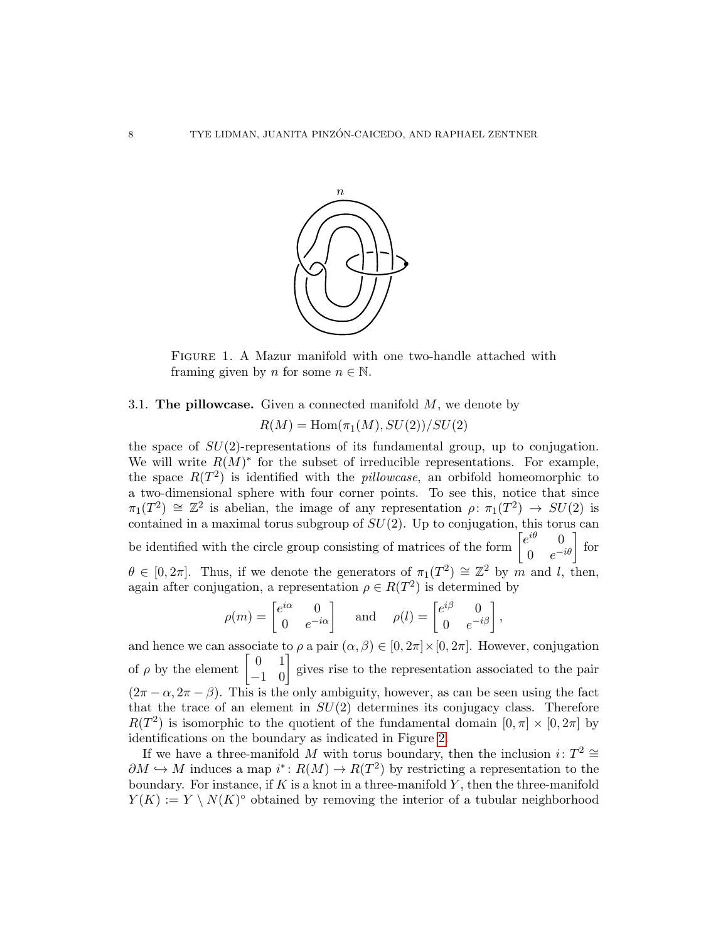

<span id="page-7-0"></span>Figure 1. A Mazur manifold with one two-handle attached with framing given by *n* for some  $n \in \mathbb{N}$ .

## 3.1. The pillowcase. Given a connected manifold  $M$ , we denote by

 $R(M) = \text{Hom}(\pi_1(M), SU(2))/SU(2)$ 

the space of  $SU(2)$ -representations of its fundamental group, up to conjugation. We will write  $R(M)^*$  for the subset of irreducible representations. For example, the space  $R(T^2)$  is identified with the *pillowcase*, an orbifold homeomorphic to a two-dimensional sphere with four corner points. To see this, notice that since  $\pi_1(T^2) \cong \mathbb{Z}^2$  is abelian, the image of any representation  $\rho: \pi_1(T^2) \to SU(2)$  is contained in a maximal torus subgroup of  $SU(2)$ . Up to conjugation, this torus can be identified with the circle group consisting of matrices of the form  $\begin{bmatrix} e^{i\theta} & 0 \\ 0 & -e^{-i\theta} \end{bmatrix}$  $\begin{bmatrix} e^{i\theta} & 0 \\ 0 & e^{-i\theta} \end{bmatrix}$  for  $\theta \in [0, 2\pi]$ . Thus, if we denote the generators of  $\pi_1(T^2) \cong \mathbb{Z}^2$  by m and l, then, again after conjugation, a representation  $\rho \in R(T^2)$  is determined by

$$
\rho(m) = \begin{bmatrix} e^{i\alpha} & 0 \\ 0 & e^{-i\alpha} \end{bmatrix} \quad \text{and} \quad \rho(l) = \begin{bmatrix} e^{i\beta} & 0 \\ 0 & e^{-i\beta} \end{bmatrix},
$$

and hence we can associate to  $\rho$  a pair  $(\alpha, \beta) \in [0, 2\pi] \times [0, 2\pi]$ . However, conjugation of  $\rho$  by the element  $\begin{bmatrix} 0 & 1 \\ -1 & 0 \end{bmatrix}$  gives rise to the representation associated to the pair  $(2\pi - \alpha, 2\pi - \beta)$ . This is the only ambiguity, however, as can be seen using the fact that the trace of an element in  $SU(2)$  determines its conjugacy class. Therefore  $R(T^2)$  is isomorphic to the quotient of the fundamental domain  $[0, \pi] \times [0, 2\pi]$  by identifications on the boundary as indicated in Figure [2.](#page-8-0)

If we have a three-manifold M with torus boundary, then the inclusion  $i: T^2 \cong$  $\partial M \hookrightarrow M$  induces a map  $i^* \colon R(M) \to R(T^2)$  by restricting a representation to the boundary. For instance, if  $K$  is a knot in a three-manifold  $Y$ , then the three-manifold  $Y(K) := Y \setminus N(K)^{\circ}$  obtained by removing the interior of a tubular neighborhood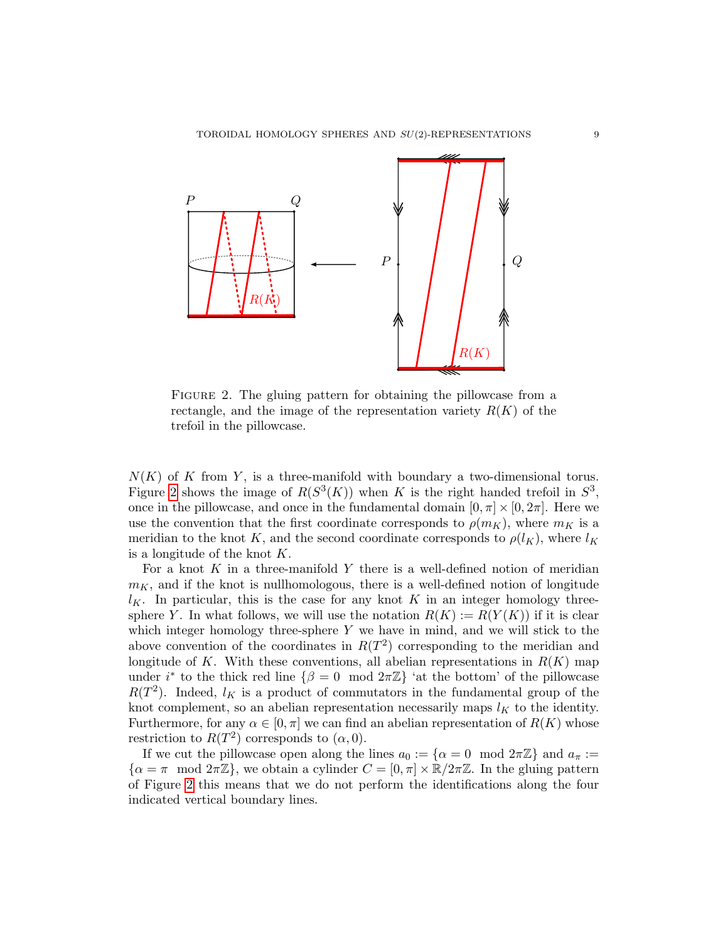

<span id="page-8-0"></span>FIGURE 2. The gluing pattern for obtaining the pillowcase from a rectangle, and the image of the representation variety  $R(K)$  of the trefoil in the pillowcase.

 $N(K)$  of K from Y, is a three-manifold with boundary a two-dimensional torus. Figure [2](#page-8-0) shows the image of  $R(S^3(K))$  when K is the right handed trefoil in  $S^3$ , once in the pillowcase, and once in the fundamental domain  $[0, \pi] \times [0, 2\pi]$ . Here we use the convention that the first coordinate corresponds to  $\rho(m_K)$ , where  $m_K$  is a meridian to the knot K, and the second coordinate corresponds to  $\rho(l_K)$ , where  $l_K$ is a longitude of the knot  $K$ .

For a knot  $K$  in a three-manifold  $Y$  there is a well-defined notion of meridian  $m<sub>K</sub>$ , and if the knot is nullhomologous, there is a well-defined notion of longitude  $l_K$ . In particular, this is the case for any knot K in an integer homology threesphere Y. In what follows, we will use the notation  $R(K) := R(Y(K))$  if it is clear which integer homology three-sphere  $Y$  we have in mind, and we will stick to the above convention of the coordinates in  $R(T^2)$  corresponding to the meridian and longitude of K. With these conventions, all abelian representations in  $R(K)$  map under i<sup>\*</sup> to the thick red line  $\{\beta = 0 \mod 2\pi\mathbb{Z}\}$  'at the bottom' of the pillowcase  $R(T^2)$ . Indeed,  $l_K$  is a product of commutators in the fundamental group of the knot complement, so an abelian representation necessarily maps  $l_K$  to the identity. Furthermore, for any  $\alpha \in [0, \pi]$  we can find an abelian representation of  $R(K)$  whose restriction to  $R(T^2)$  corresponds to  $(\alpha, 0)$ .

If we cut the pillowcase open along the lines  $a_0 := \{\alpha = 0 \mod 2\pi \mathbb{Z}\}\$  and  $a_{\pi} :=$  $\{\alpha = \pi \mod 2\pi\mathbb{Z}\},\$  we obtain a cylinder  $C = [0, \pi] \times \mathbb{R}/2\pi\mathbb{Z}$ . In the gluing pattern of Figure [2](#page-8-0) this means that we do not perform the identifications along the four indicated vertical boundary lines.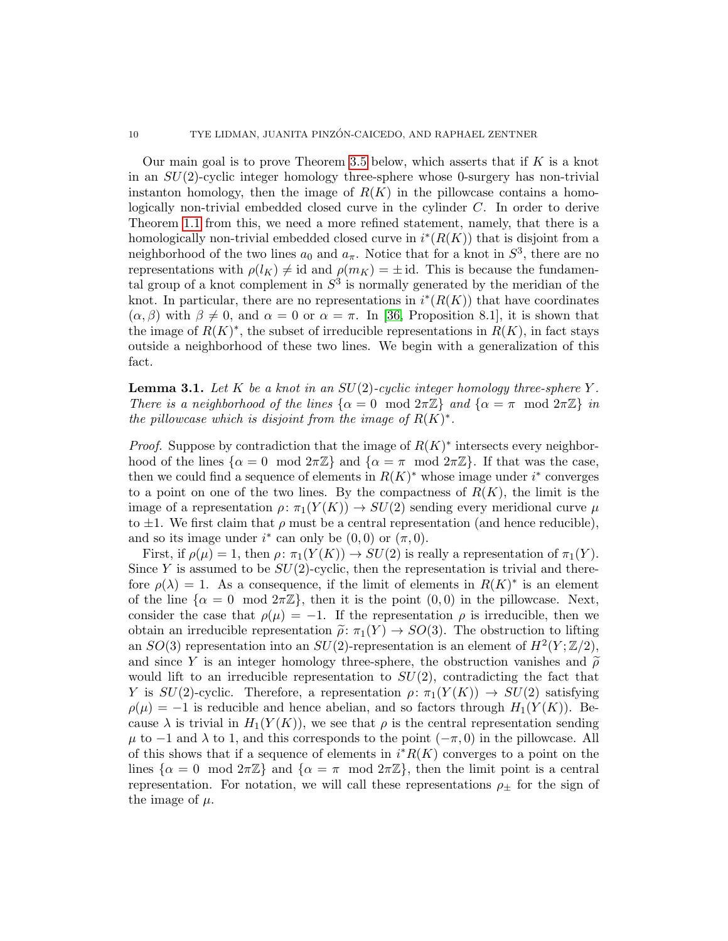Our main goal is to prove Theorem [3.5](#page-11-1) below, which asserts that if  $K$  is a knot in an  $SU(2)$ -cyclic integer homology three-sphere whose 0-surgery has non-trivial instanton homology, then the image of  $R(K)$  in the pillowcase contains a homologically non-trivial embedded closed curve in the cylinder C. In order to derive Theorem [1.1](#page-1-0) from this, we need a more refined statement, namely, that there is a homologically non-trivial embedded closed curve in  $i^*(R(K))$  that is disjoint from a neighborhood of the two lines  $a_0$  and  $a_{\pi}$ . Notice that for a knot in  $S^3$ , there are no representations with  $\rho(l_K) \neq id$  and  $\rho(m_K) = \pm id$ . This is because the fundamental group of a knot complement in  $S^3$  is normally generated by the meridian of the knot. In particular, there are no representations in  $i^*(R(K))$  that have coordinates  $(\alpha, \beta)$  with  $\beta \neq 0$ , and  $\alpha = 0$  or  $\alpha = \pi$ . In [\[36,](#page-25-4) Proposition 8.1], it is shown that the image of  $R(K)^*$ , the subset of irreducible representations in  $R(K)$ , in fact stays outside a neighborhood of these two lines. We begin with a generalization of this fact.

<span id="page-9-0"></span>**Lemma 3.1.** Let K be a knot in an  $SU(2)$ -cyclic integer homology three-sphere Y. There is a neighborhood of the lines  $\{\alpha = 0 \mod 2\pi\mathbb{Z}\}\$  and  $\{\alpha = \pi \mod 2\pi\mathbb{Z}\}\$  in the pillowcase which is disjoint from the image of  $R(K)^*$ .

*Proof.* Suppose by contradiction that the image of  $R(K)^*$  intersects every neighborhood of the lines  $\{\alpha = 0 \mod 2\pi\mathbb{Z}\}\$  and  $\{\alpha = \pi \mod 2\pi\mathbb{Z}\}\$ . If that was the case, then we could find a sequence of elements in  $R(K)^*$  whose image under i<sup>\*</sup> converges to a point on one of the two lines. By the compactness of  $R(K)$ , the limit is the image of a representation  $\rho: \pi_1(Y(K)) \to SU(2)$  sending every meridional curve  $\mu$ to  $\pm 1$ . We first claim that  $\rho$  must be a central representation (and hence reducible), and so its image under  $i^*$  can only be  $(0,0)$  or  $(\pi,0)$ .

First, if  $\rho(\mu) = 1$ , then  $\rho: \pi_1(Y(K)) \to SU(2)$  is really a representation of  $\pi_1(Y)$ . Since Y is assumed to be  $SU(2)$ -cyclic, then the representation is trivial and therefore  $\rho(\lambda) = 1$ . As a consequence, if the limit of elements in  $R(K)^*$  is an element of the line  $\{\alpha = 0 \mod 2\pi\mathbb{Z}\}\$ , then it is the point  $(0, 0)$  in the pillowcase. Next, consider the case that  $\rho(\mu) = -1$ . If the representation  $\rho$  is irreducible, then we obtain an irreducible representation  $\tilde{\rho}: \pi_1(Y) \to SO(3)$ . The obstruction to lifting an  $SO(3)$  representation into an  $SU(2)$ -representation is an element of  $H^2(Y;\mathbb{Z}/2)$ , and since Y is an integer homology three-sphere, the obstruction vanishes and  $\tilde{\rho}$ would lift to an irreducible representation to  $SU(2)$ , contradicting the fact that Y is  $SU(2)$ -cyclic. Therefore, a representation  $\rho: \pi_1(Y(K)) \to SU(2)$  satisfying  $\rho(\mu) = -1$  is reducible and hence abelian, and so factors through  $H_1(Y(K))$ . Because  $\lambda$  is trivial in  $H_1(Y(K))$ , we see that  $\rho$  is the central representation sending  $\mu$  to  $-1$  and  $\lambda$  to 1, and this corresponds to the point  $(-\pi,0)$  in the pillowcase. All of this shows that if a sequence of elements in  $i^*R(K)$  converges to a point on the lines  $\{\alpha = 0 \mod 2\pi\mathbb{Z}\}\$  and  $\{\alpha = \pi \mod 2\pi\mathbb{Z}\}\$ , then the limit point is a central representation. For notation, we will call these representations  $\rho_{\pm}$  for the sign of the image of  $\mu$ .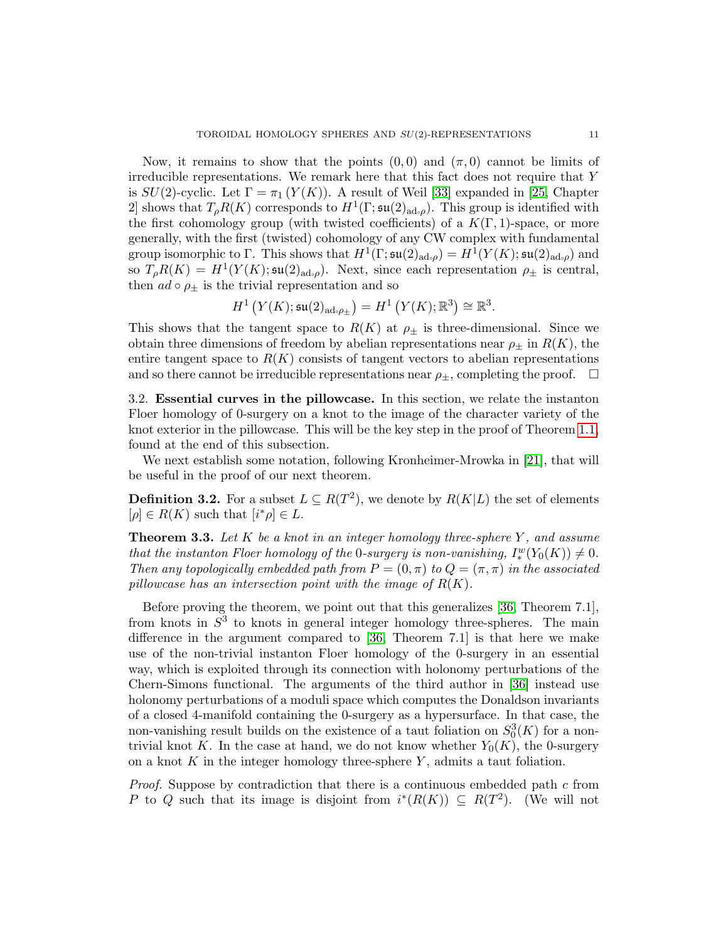Now, it remains to show that the points  $(0,0)$  and  $(\pi,0)$  cannot be limits of irreducible representations. We remark here that this fact does not require that  $Y$ is  $SU(2)$ -cyclic. Let  $\Gamma = \pi_1(Y(K))$ . A result of Weil [\[33\]](#page-25-8) expanded in [\[25,](#page-25-9) Chapter 2] shows that  $T_{\rho}R(K)$  corresponds to  $H^1(\Gamma; \mathfrak{su}(2)_{\mathrm{ad}_\mathcal{P}})$ . This group is identified with the first cohomology group (with twisted coefficients) of a  $K(\Gamma, 1)$ -space, or more generally, with the first (twisted) cohomology of any CW complex with fundamental group isomorphic to Γ. This shows that  $H^1(\Gamma; \mathfrak{su}(2)_{\mathrm{ad}}) = H^1(Y(K); \mathfrak{su}(2)_{\mathrm{ad}})$  and so  $T_{\rho}R(K) = H^1(Y(K); \mathfrak{su}(2)_{\text{ad}\varphi}).$  Next, since each representation  $\rho_{\pm}$  is central, then  $ad \circ \rho_{\pm}$  is the trivial representation and so

$$
H^1\left(Y(K);\mathfrak{su}(2)_{\mathrm{ad}\mathfrak{o}\rho_{\pm}}\right)=H^1\left(Y(K);\mathbb{R}^3\right)\cong\mathbb{R}^3.
$$

This shows that the tangent space to  $R(K)$  at  $\rho_{\pm}$  is three-dimensional. Since we obtain three dimensions of freedom by abelian representations near  $\rho_{\pm}$  in  $R(K)$ , the entire tangent space to  $R(K)$  consists of tangent vectors to abelian representations and so there cannot be irreducible representations near  $\rho_{\pm}$ , completing the proof.  $\Box$ 

3.2. Essential curves in the pillowcase. In this section, we relate the instanton Floer homology of 0-surgery on a knot to the image of the character variety of the knot exterior in the pillowcase. This will be the key step in the proof of Theorem [1.1,](#page-1-0) found at the end of this subsection.

We next establish some notation, following Kronheimer-Mrowka in [\[21\]](#page-24-5), that will be useful in the proof of our next theorem.

**Definition 3.2.** For a subset  $L \subseteq R(T^2)$ , we denote by  $R(K|L)$  the set of elements  $[\rho] \in R(K)$  such that  $[i^* \rho] \in L$ .

<span id="page-10-0"></span>**Theorem 3.3.** Let K be a knot in an integer homology three-sphere Y, and assume that the instanton Floer homology of the 0-surgery is non-vanishing,  $I^w_*(Y_0(K)) \neq 0$ . Then any topologically embedded path from  $P = (0, \pi)$  to  $Q = (\pi, \pi)$  in the associated pillowcase has an intersection point with the image of  $R(K)$ .

Before proving the theorem, we point out that this generalizes [\[36,](#page-25-4) Theorem 7.1], from knots in  $S<sup>3</sup>$  to knots in general integer homology three-spheres. The main difference in the argument compared to [\[36,](#page-25-4) Theorem 7.1] is that here we make use of the non-trivial instanton Floer homology of the 0-surgery in an essential way, which is exploited through its connection with holonomy perturbations of the Chern-Simons functional. The arguments of the third author in [\[36\]](#page-25-4) instead use holonomy perturbations of a moduli space which computes the Donaldson invariants of a closed 4-manifold containing the 0-surgery as a hypersurface. In that case, the non-vanishing result builds on the existence of a taut foliation on  $S_0^3(K)$  for a nontrivial knot K. In the case at hand, we do not know whether  $Y_0(K)$ , the 0-surgery on a knot K in the integer homology three-sphere Y, admits a taut foliation.

Proof. Suppose by contradiction that there is a continuous embedded path c from P to Q such that its image is disjoint from  $i^*(R(K)) \subseteq R(T^2)$ . (We will not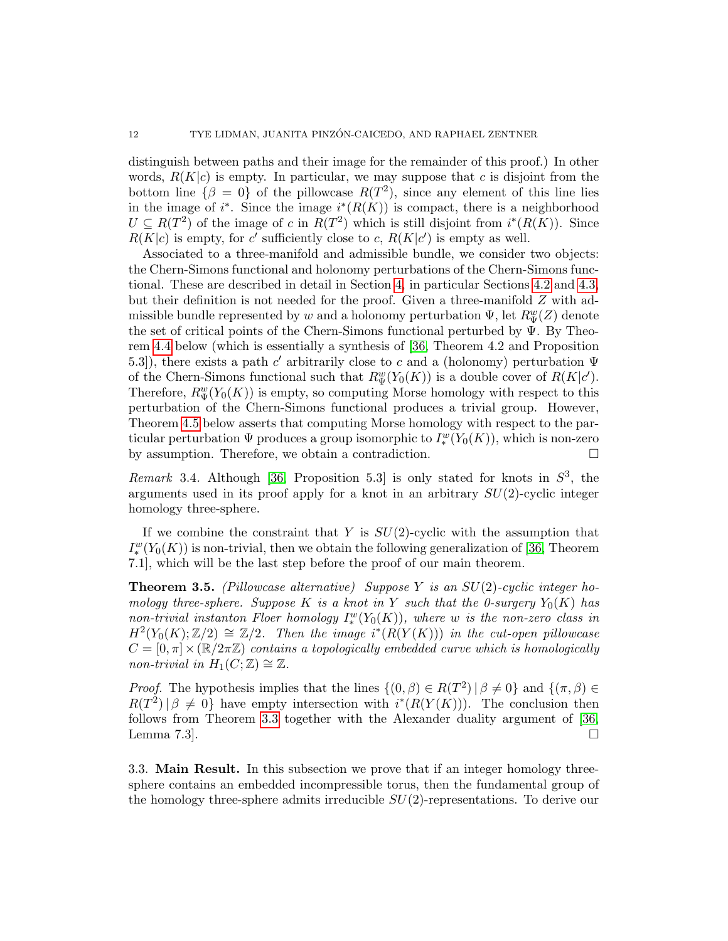distinguish between paths and their image for the remainder of this proof.) In other words,  $R(K|c)$  is empty. In particular, we may suppose that c is disjoint from the bottom line  $\{\beta = 0\}$  of the pillowcase  $R(T^2)$ , since any element of this line lies in the image of  $i^*$ . Since the image  $i^*(R(K))$  is compact, there is a neighborhood  $U \subseteq R(T^2)$  of the image of c in  $R(T^2)$  which is still disjoint from  $i^*(R(K))$ . Since  $R(K|c)$  is empty, for c' sufficiently close to c,  $R(K|c')$  is empty as well.

Associated to a three-manifold and admissible bundle, we consider two objects: the Chern-Simons functional and holonomy perturbations of the Chern-Simons functional. These are described in detail in Section [4,](#page-13-0) in particular Sections [4.2](#page-16-0) and [4.3,](#page-17-0) but their definition is not needed for the proof. Given a three-manifold  $Z$  with admissible bundle represented by  $w$  and a holonomy perturbation  $\Psi$ , let  $R_{\Psi}^w(Z)$  denote the set of critical points of the Chern-Simons functional perturbed by  $\Psi$ . By Theorem [4.4](#page-19-0) below (which is essentially a synthesis of [\[36,](#page-25-4) Theorem 4.2 and Proposition 5.3]), there exists a path c' arbitrarily close to c and a (holonomy) perturbation  $\Psi$ of the Chern-Simons functional such that  $R_{\Psi}^w(Y_0(K))$  is a double cover of  $R(K|c')$ . Therefore,  $R_{\Psi}^{w}(Y_0(K))$  is empty, so computing Morse homology with respect to this perturbation of the Chern-Simons functional produces a trivial group. However, Theorem [4.5](#page-20-0) below asserts that computing Morse homology with respect to the particular perturbation  $\Psi$  produces a group isomorphic to  $I_*^w(Y_0(K))$ , which is non-zero by assumption. Therefore, we obtain a contradiction.

Remark 3.4. Although [\[36,](#page-25-4) Proposition 5.3] is only stated for knots in  $S^3$ , the arguments used in its proof apply for a knot in an arbitrary  $SU(2)$ -cyclic integer homology three-sphere.

If we combine the constraint that Y is  $SU(2)$ -cyclic with the assumption that  $I_*^w(Y_0(K))$  is non-trivial, then we obtain the following generalization of [\[36,](#page-25-4) Theorem 7.1], which will be the last step before the proof of our main theorem.

<span id="page-11-1"></span>**Theorem 3.5.** (Pillowcase alternative) Suppose Y is an  $SU(2)$ -cyclic integer homology three-sphere. Suppose K is a knot in Y such that the 0-surgery  $Y_0(K)$  has non-trivial instanton Floer homology  $I^w_*(Y_0(K))$ , where w is the non-zero class in  $H^2(Y_0(K);\mathbb{Z}/2) \cong \mathbb{Z}/2$ . Then the image  $i^*(R(Y(K)))$  in the cut-open pillowcase  $C = [0, \pi] \times (\mathbb{R}/2\pi\mathbb{Z})$  contains a topologically embedded curve which is homologically non-trivial in  $H_1(C; \mathbb{Z}) \cong \mathbb{Z}$ .

*Proof.* The hypothesis implies that the lines  $\{(0, \beta) \in R(T^2) | \beta \neq 0\}$  and  $\{(\pi, \beta) \in R(T^2) | \beta \neq 0\}$  $R(T^2) | \beta \neq 0$  have empty intersection with  $i^*(R(Y(K)))$ . The conclusion then follows from Theorem [3.3](#page-10-0) together with the Alexander duality argument of [\[36,](#page-25-4) Lemma 7.3.  $\Box$ 

<span id="page-11-0"></span>3.3. Main Result. In this subsection we prove that if an integer homology threesphere contains an embedded incompressible torus, then the fundamental group of the homology three-sphere admits irreducible  $SU(2)$ -representations. To derive our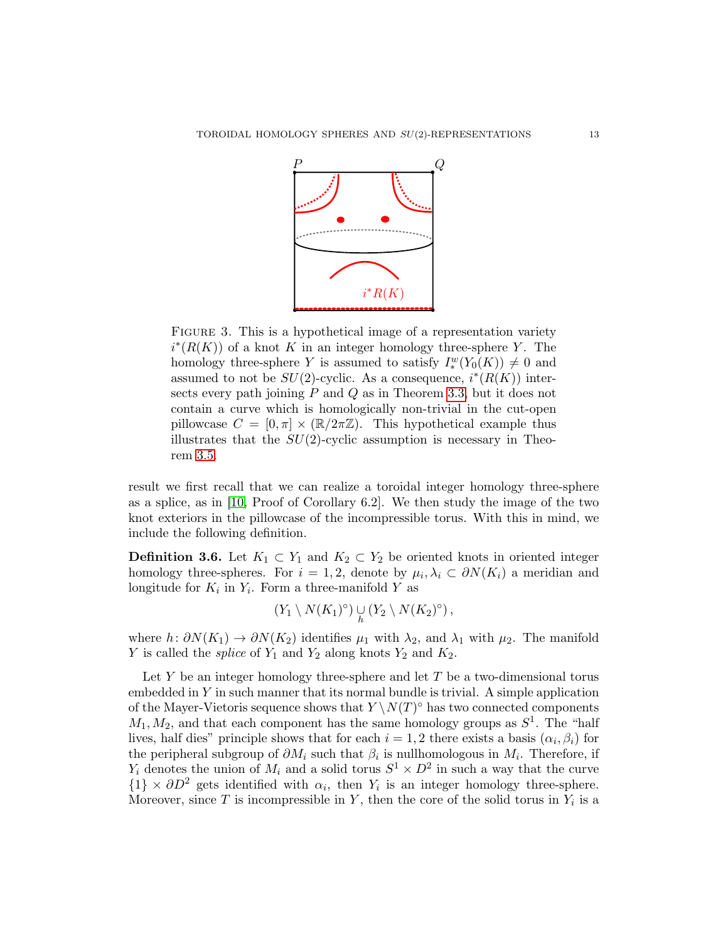

FIGURE 3. This is a hypothetical image of a representation variety  $i^*(R(K))$  of a knot K in an integer homology three-sphere Y. The homology three-sphere Y is assumed to satisfy  $I_*^w(Y_0(K)) \neq 0$  and assumed to not be  $SU(2)$ -cyclic. As a consequence,  $i^*(R(K))$  intersects every path joining  $P$  and  $Q$  as in Theorem [3.3,](#page-10-0) but it does not contain a curve which is homologically non-trivial in the cut-open pillowcase  $C = [0, \pi] \times (\mathbb{R}/2\pi\mathbb{Z})$ . This hypothetical example thus illustrates that the  $SU(2)$ -cyclic assumption is necessary in Theorem [3.5.](#page-11-1)

result we first recall that we can realize a toroidal integer homology three-sphere as a splice, as in [\[10,](#page-24-7) Proof of Corollary 6.2]. We then study the image of the two knot exteriors in the pillowcase of the incompressible torus. With this in mind, we include the following definition.

**Definition 3.6.** Let  $K_1 \subset Y_1$  and  $K_2 \subset Y_2$  be oriented knots in oriented integer homology three-spheres. For  $i = 1, 2$ , denote by  $\mu_i, \lambda_i \subset \partial N(K_i)$  a meridian and longitude for  $K_i$  in  $Y_i$ . Form a three-manifold Y as

$$
(Y_1 \setminus N(K_1)^{\circ}) \cup_{h} (Y_2 \setminus N(K_2)^{\circ}),
$$

where  $h: \partial N(K_1) \to \partial N(K_2)$  identifies  $\mu_1$  with  $\lambda_2$ , and  $\lambda_1$  with  $\mu_2$ . The manifold Y is called the *splice* of  $Y_1$  and  $Y_2$  along knots  $Y_2$  and  $K_2$ .

Let  $Y$  be an integer homology three-sphere and let  $T$  be a two-dimensional torus embedded in  $Y$  in such manner that its normal bundle is trivial. A simple application of the Mayer-Vietoris sequence shows that  $Y \setminus N(T)^\circ$  has two connected components  $M_1, M_2$ , and that each component has the same homology groups as  $S^1$ . The "half lives, half dies" principle shows that for each  $i = 1, 2$  there exists a basis  $(\alpha_i, \beta_i)$  for the peripheral subgroup of  $\partial M_i$  such that  $\beta_i$  is nullhomologous in  $M_i$ . Therefore, if  $Y_i$  denotes the union of  $M_i$  and a solid torus  $S^1 \times D^2$  in such a way that the curve  ${1} \times \partial D^2$  gets identified with  $\alpha_i$ , then  $Y_i$  is an integer homology three-sphere. Moreover, since T is incompressible in Y, then the core of the solid torus in  $Y_i$  is a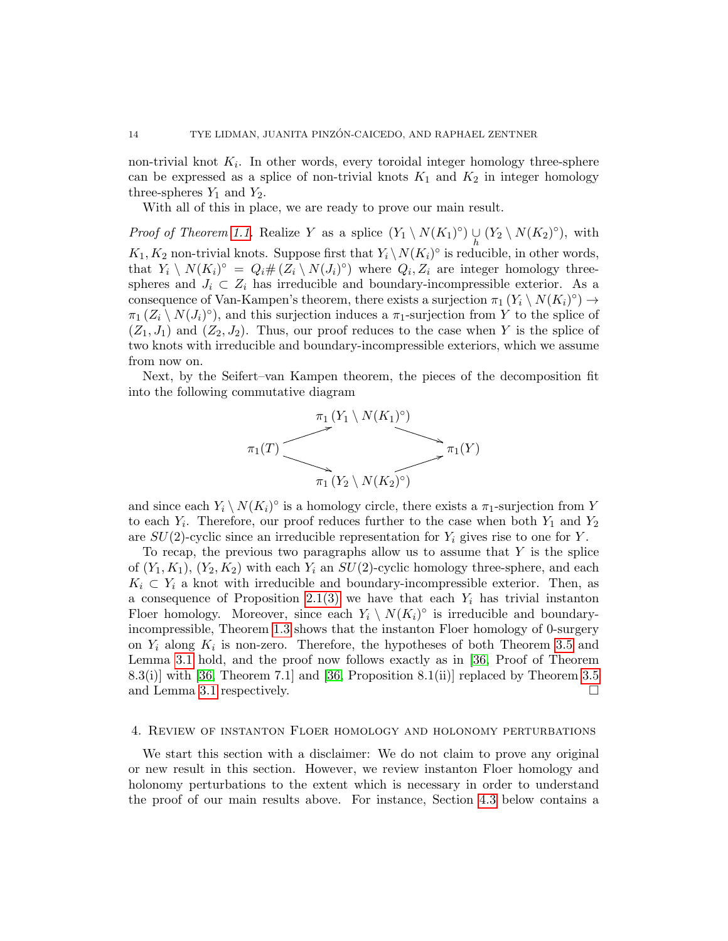non-trivial knot  $K_i$ . In other words, every toroidal integer homology three-sphere can be expressed as a splice of non-trivial knots  $K_1$  and  $K_2$  in integer homology three-spheres  $Y_1$  and  $Y_2$ .

With all of this in place, we are ready to prove our main result.

*Proof of Theorem [1.1.](#page-1-0)* Realize Y as a splice  $(Y_1 \setminus N(K_1)^{\circ}) \cup_{h} (Y_2 \setminus N(K_2)^{\circ})$ , with  $K_1, K_2$  non-trivial knots. Suppose first that  $Y_i \setminus N(K_i)^\circ$  is reducible, in other words, that  $Y_i \setminus N(K_i)^\circ = Q_i \# (Z_i \setminus N(J_i)^\circ)$  where  $Q_i, Z_i$  are integer homology threespheres and  $J_i \subset Z_i$  has irreducible and boundary-incompressible exterior. As a consequence of Van-Kampen's theorem, there exists a surjection  $\pi_1(Y_i \setminus N(K_i)^\circ) \to$  $\pi_1(Z_i \setminus N(J_i)^{\circ})$ , and this surjection induces a  $\pi_1$ -surjection from Y to the splice of  $(Z_1, J_1)$  and  $(Z_2, J_2)$ . Thus, our proof reduces to the case when Y is the splice of two knots with irreducible and boundary-incompressible exteriors, which we assume from now on.

Next, by the Seifert–van Kampen theorem, the pieces of the decomposition fit into the following commutative diagram



and since each  $Y_i \setminus N(K_i)^\circ$  is a homology circle, there exists a  $\pi_1$ -surjection from Y to each  $Y_i$ . Therefore, our proof reduces further to the case when both  $Y_1$  and  $Y_2$ are  $SU(2)$ -cyclic since an irreducible representation for  $Y_i$  gives rise to one for Y.

To recap, the previous two paragraphs allow us to assume that  $Y$  is the splice of  $(Y_1, K_1)$ ,  $(Y_2, K_2)$  with each  $Y_i$  an  $SU(2)$ -cyclic homology three-sphere, and each  $K_i \subset Y_i$  a knot with irreducible and boundary-incompressible exterior. Then, as a consequence of Proposition [2.1\(3\)](#page-5-1) we have that each  $Y_i$  has trivial instanton Floer homology. Moreover, since each  $Y_i \setminus N(K_i)^\circ$  is irreducible and boundaryincompressible, Theorem [1.3](#page-2-0) shows that the instanton Floer homology of 0-surgery on  $Y_i$  along  $K_i$  is non-zero. Therefore, the hypotheses of both Theorem [3.5](#page-11-1) and Lemma [3.1](#page-9-0) hold, and the proof now follows exactly as in [\[36,](#page-25-4) Proof of Theorem 8.3(i)] with [\[36,](#page-25-4) Theorem 7.1] and [\[36,](#page-25-4) Proposition 8.1(ii)] replaced by Theorem [3.5](#page-11-1) and Lemma [3.1](#page-9-0) respectively.

### <span id="page-13-0"></span>4. Review of instanton Floer homology and holonomy perturbations

We start this section with a disclaimer: We do not claim to prove any original or new result in this section. However, we review instanton Floer homology and holonomy perturbations to the extent which is necessary in order to understand the proof of our main results above. For instance, Section [4.3](#page-17-0) below contains a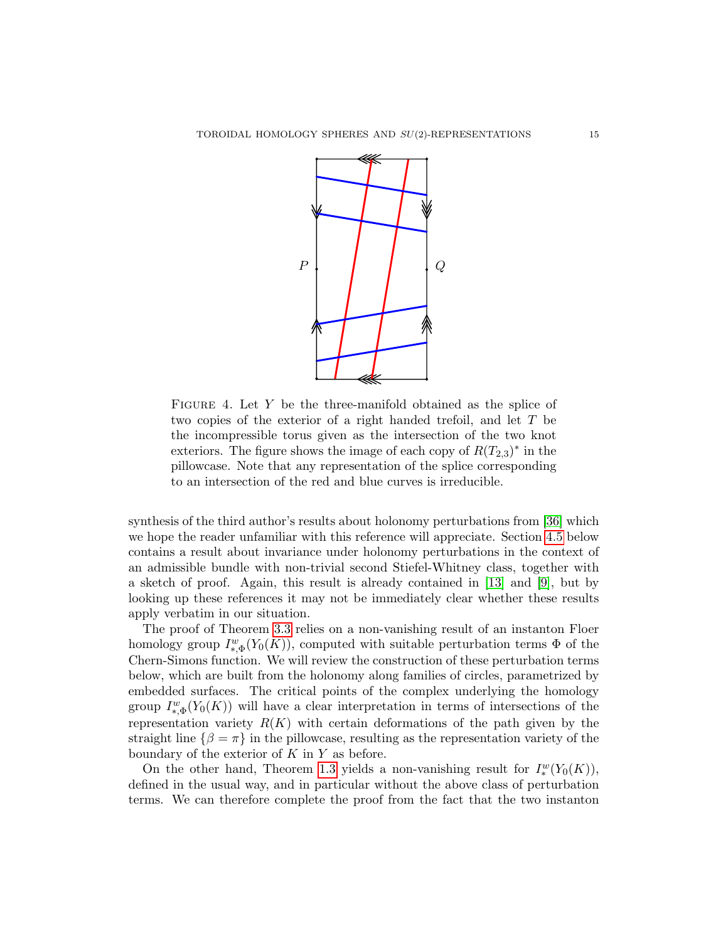

FIGURE 4. Let  $Y$  be the three-manifold obtained as the splice of two copies of the exterior of a right handed trefoil, and let T be the incompressible torus given as the intersection of the two knot exteriors. The figure shows the image of each copy of  $R(T_{2,3})^*$  in the pillowcase. Note that any representation of the splice corresponding to an intersection of the red and blue curves is irreducible.

synthesis of the third author's results about holonomy perturbations from [\[36\]](#page-25-4) which we hope the reader unfamiliar with this reference will appreciate. Section [4.5](#page-19-1) below contains a result about invariance under holonomy perturbations in the context of an admissible bundle with non-trivial second Stiefel-Whitney class, together with a sketch of proof. Again, this result is already contained in [\[13\]](#page-24-21) and [\[9\]](#page-24-18), but by looking up these references it may not be immediately clear whether these results apply verbatim in our situation.

The proof of Theorem [3.3](#page-10-0) relies on a non-vanishing result of an instanton Floer homology group  $I_{*,\Phi}^w(Y_0(K))$ , computed with suitable perturbation terms  $\Phi$  of the Chern-Simons function. We will review the construction of these perturbation terms below, which are built from the holonomy along families of circles, parametrized by embedded surfaces. The critical points of the complex underlying the homology group  $I_{*,\Phi}^w(Y_0(K))$  will have a clear interpretation in terms of intersections of the representation variety  $R(K)$  with certain deformations of the path given by the straight line  $\{\beta = \pi\}$  in the pillowcase, resulting as the representation variety of the boundary of the exterior of  $K$  in  $Y$  as before.

On the other hand, Theorem [1.3](#page-2-0) yields a non-vanishing result for  $I^w_*(Y_0(K))$ , defined in the usual way, and in particular without the above class of perturbation terms. We can therefore complete the proof from the fact that the two instanton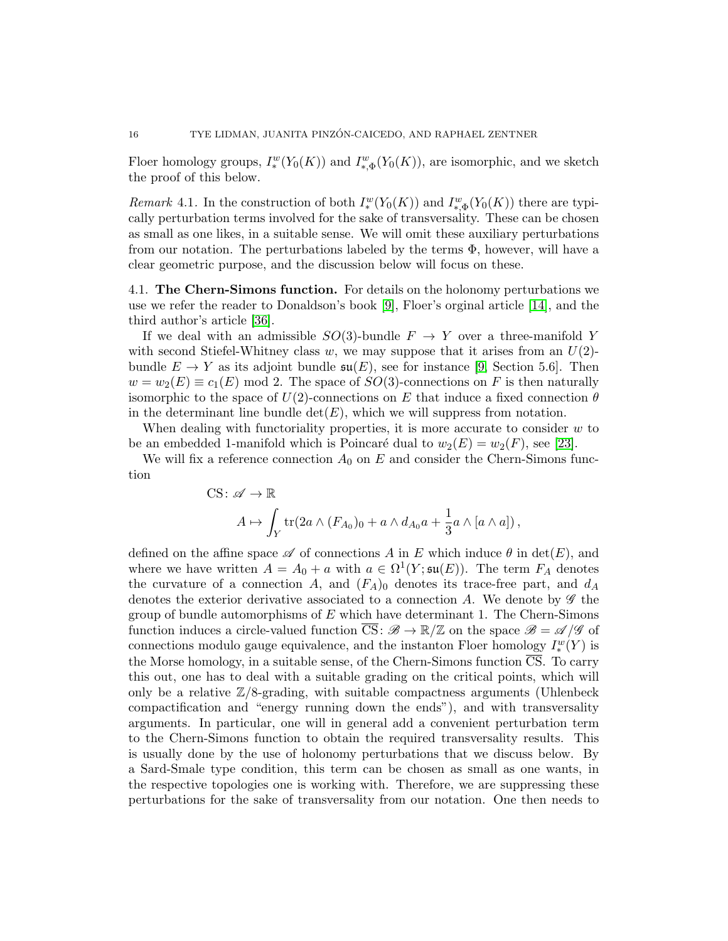Floer homology groups,  $I^w_*(Y_0(K))$  and  $I^w_{*,\Phi}(Y_0(K))$ , are isomorphic, and we sketch the proof of this below.

*Remark* 4.1. In the construction of both  $I^w_*(Y_0(K))$  and  $I^w_{*,\Phi}(Y_0(K))$  there are typically perturbation terms involved for the sake of transversality. These can be chosen as small as one likes, in a suitable sense. We will omit these auxiliary perturbations from our notation. The perturbations labeled by the terms  $\Phi$ , however, will have a clear geometric purpose, and the discussion below will focus on these.

4.1. The Chern-Simons function. For details on the holonomy perturbations we use we refer the reader to Donaldson's book [\[9\]](#page-24-18), Floer's orginal article [\[14\]](#page-24-17), and the third author's article [\[36\]](#page-25-4).

If we deal with an admissible  $SO(3)$ -bundle  $F \to Y$  over a three-manifold Y with second Stiefel-Whitney class w, we may suppose that it arises from an  $U(2)$ bundle  $E \to Y$  as its adjoint bundle  $\mathfrak{su}(E)$ , see for instance [\[9,](#page-24-18) Section 5.6]. Then  $w = w_2(E) \equiv c_1(E) \mod 2$ . The space of  $SO(3)$ -connections on F is then naturally isomorphic to the space of  $U(2)$ -connections on E that induce a fixed connection  $\theta$ in the determinant line bundle  $\det(E)$ , which we will suppress from notation.

When dealing with functoriality properties, it is more accurate to consider  $w$  to be an embedded 1-manifold which is Poincaré dual to  $w_2(E) = w_2(F)$ , see [\[23\]](#page-24-22).

We will fix a reference connection  $A_0$  on E and consider the Chern-Simons function

CS: 
$$
\mathscr{A} \to \mathbb{R}
$$
  
\n
$$
A \mapsto \int_Y \text{tr}(2a \wedge (F_{A_0})_0 + a \wedge d_{A_0}a + \frac{1}{3}a \wedge [a \wedge a]),
$$

defined on the affine space  $\mathscr A$  of connections A in E which induce  $\theta$  in det(E), and where we have written  $A = A_0 + a$  with  $a \in \Omega^1(Y; \mathfrak{su}(E))$ . The term  $F_A$  denotes the curvature of a connection A, and  $(F_A)_0$  denotes its trace-free part, and  $d_A$ denotes the exterior derivative associated to a connection A. We denote by  $\mathscr G$  the group of bundle automorphisms of  $E$  which have determinant 1. The Chern-Simons function induces a circle-valued function  $\overline{CS}$ :  $\mathscr{B} \to \mathbb{R}/\mathbb{Z}$  on the space  $\mathscr{B} = \mathscr{A}/\mathscr{G}$  of connections modulo gauge equivalence, and the instanton Floer homology  $I_*^w(Y)$  is the Morse homology, in a suitable sense, of the Chern-Simons function  $\overline{CS}$ . To carry this out, one has to deal with a suitable grading on the critical points, which will only be a relative  $\mathbb{Z}/8$ -grading, with suitable compactness arguments (Uhlenbeck compactification and "energy running down the ends"), and with transversality arguments. In particular, one will in general add a convenient perturbation term to the Chern-Simons function to obtain the required transversality results. This is usually done by the use of holonomy perturbations that we discuss below. By a Sard-Smale type condition, this term can be chosen as small as one wants, in the respective topologies one is working with. Therefore, we are suppressing these perturbations for the sake of transversality from our notation. One then needs to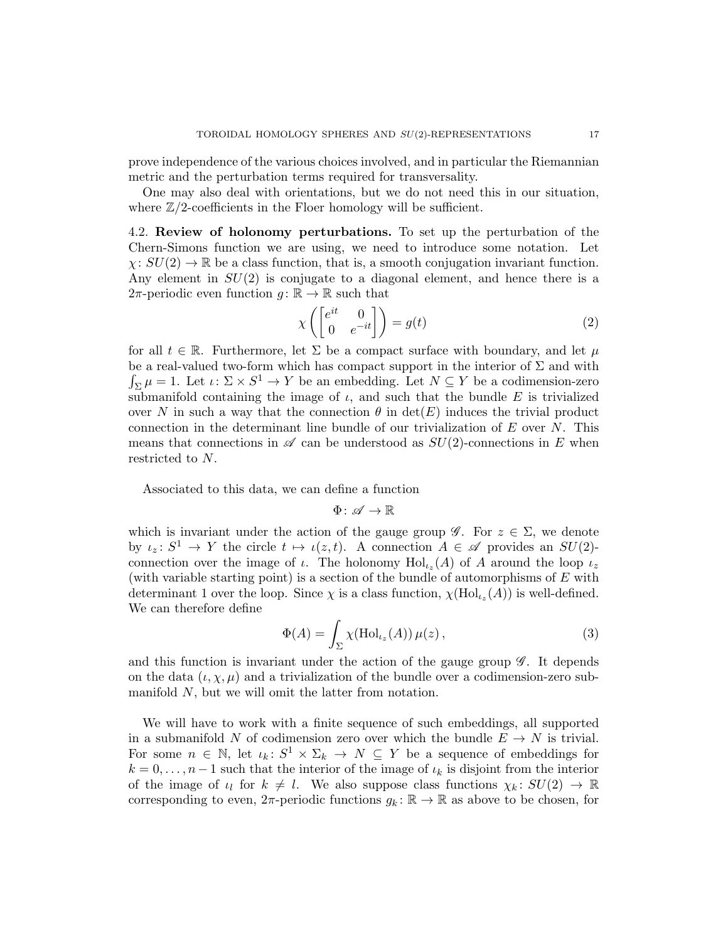prove independence of the various choices involved, and in particular the Riemannian metric and the perturbation terms required for transversality.

One may also deal with orientations, but we do not need this in our situation, where  $\mathbb{Z}/2$ -coefficients in the Floer homology will be sufficient.

<span id="page-16-0"></span>4.2. Review of holonomy perturbations. To set up the perturbation of the Chern-Simons function we are using, we need to introduce some notation. Let  $\chi: SU(2) \to \mathbb{R}$  be a class function, that is, a smooth conjugation invariant function. Any element in  $SU(2)$  is conjugate to a diagonal element, and hence there is a 2π-periodic even function  $g: \mathbb{R} \to \mathbb{R}$  such that

<span id="page-16-2"></span>
$$
\chi\left(\begin{bmatrix} e^{it} & 0\\ 0 & e^{-it} \end{bmatrix}\right) = g(t) \tag{2}
$$

for all  $t \in \mathbb{R}$ . Furthermore, let  $\Sigma$  be a compact surface with boundary, and let  $\mu$ be a real-valued two-form which has compact support in the interior of  $\Sigma$  and with  $\int_{\Sigma} \mu = 1$ . Let  $\iota \colon \Sigma \times S^1 \to Y$  be an embedding. Let  $N \subseteq Y$  be a codimension-zero submanifold containing the image of  $\iota$ , and such that the bundle E is trivialized over N in such a way that the connection  $\theta$  in  $\det(E)$  induces the trivial product connection in the determinant line bundle of our trivialization of  $E$  over  $N$ . This means that connections in  $\mathscr A$  can be understood as  $SU(2)$ -connections in E when restricted to N.

Associated to this data, we can define a function

$$
\Phi\colon \mathscr{A}\to \mathbb{R}
$$

which is invariant under the action of the gauge group  $\mathscr{G}$ . For  $z \in \Sigma$ , we denote by  $\iota_z \colon S^1 \to Y$  the circle  $t \mapsto \iota(z, t)$ . A connection  $A \in \mathscr{A}$  provides an  $SU(2)$ connection over the image of  $\iota$ . The holonomy  $\text{Hol}_{\iota_z}(A)$  of A around the loop  $\iota_z$ (with variable starting point) is a section of the bundle of automorphisms of E with determinant 1 over the loop. Since  $\chi$  is a class function,  $\chi(\text{Hol}_{\iota_z}(A))$  is well-defined. We can therefore define

<span id="page-16-1"></span>
$$
\Phi(A) = \int_{\Sigma} \chi(\mathrm{Hol}_{\iota_z}(A)) \,\mu(z) \,, \tag{3}
$$

and this function is invariant under the action of the gauge group  $\mathscr G$ . It depends on the data  $(\iota, \chi, \mu)$  and a trivialization of the bundle over a codimension-zero submanifold N, but we will omit the latter from notation.

We will have to work with a finite sequence of such embeddings, all supported in a submanifold N of codimension zero over which the bundle  $E \to N$  is trivial. For some  $n \in \mathbb{N}$ , let  $\iota_k: S^1 \times \Sigma_k \to N \subseteq Y$  be a sequence of embeddings for  $k = 0, \ldots, n-1$  such that the interior of the image of  $\iota_k$  is disjoint from the interior of the image of  $\iota_l$  for  $k \neq l$ . We also suppose class functions  $\chi_k \colon SU(2) \to \mathbb{R}$ corresponding to even,  $2\pi$ -periodic functions  $g_k : \mathbb{R} \to \mathbb{R}$  as above to be chosen, for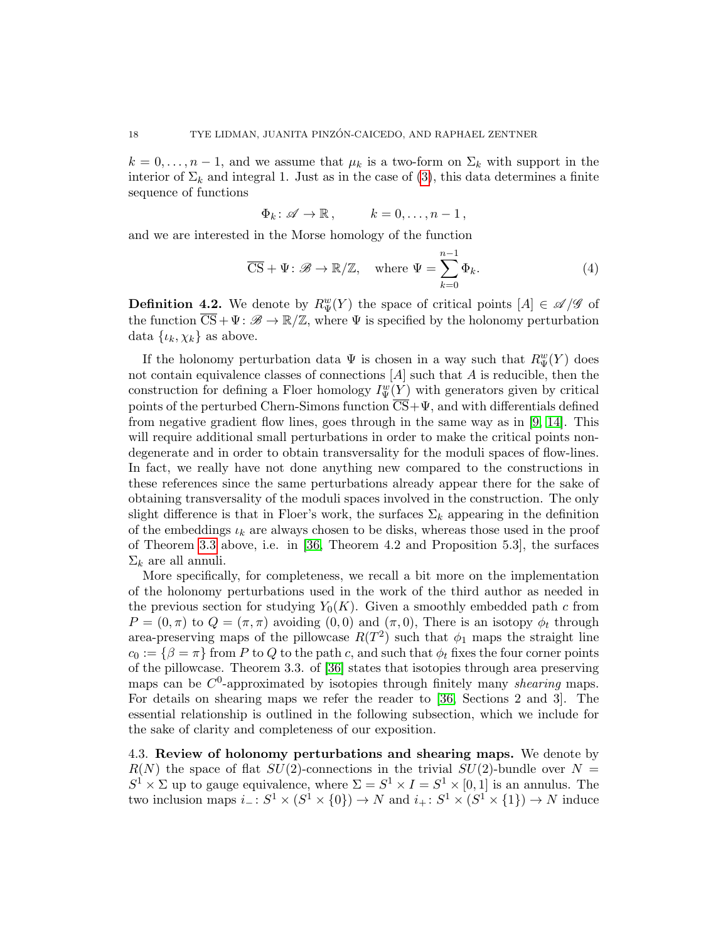$k = 0, \ldots, n-1$ , and we assume that  $\mu_k$  is a two-form on  $\Sigma_k$  with support in the interior of  $\Sigma_k$  and integral 1. Just as in the case of [\(3\)](#page-16-1), this data determines a finite sequence of functions

$$
\Phi_k \colon \mathscr{A} \to \mathbb{R} \,, \qquad k = 0, \ldots, n-1 \,,
$$

and we are interested in the Morse homology of the function

<span id="page-17-1"></span>
$$
\overline{\text{CS}} + \Psi \colon \mathscr{B} \to \mathbb{R}/\mathbb{Z}, \quad \text{where } \Psi = \sum_{k=0}^{n-1} \Phi_k.
$$
 (4)

<span id="page-17-2"></span>**Definition 4.2.** We denote by  $R_{\Psi}^w(Y)$  the space of critical points  $[A] \in \mathcal{A}/\mathcal{G}$  of the function  $\overline{CS} + \Psi : \mathscr{B} \to \mathbb{R}/\mathbb{Z}$ , where  $\Psi$  is specified by the holonomy perturbation data  $\{\iota_k, \chi_k\}$  as above.

If the holonomy perturbation data  $\Psi$  is chosen in a way such that  $R_{\Psi}^{w}(Y)$  does not contain equivalence classes of connections  $[A]$  such that A is reducible, then the construction for defining a Floer homology  $I^w_{\Psi}(Y)$  with generators given by critical points of the perturbed Chern-Simons function  $\overline{CS}+\Psi$ , and with differentials defined from negative gradient flow lines, goes through in the same way as in [\[9,](#page-24-18) [14\]](#page-24-17). This will require additional small perturbations in order to make the critical points nondegenerate and in order to obtain transversality for the moduli spaces of flow-lines. In fact, we really have not done anything new compared to the constructions in these references since the same perturbations already appear there for the sake of obtaining transversality of the moduli spaces involved in the construction. The only slight difference is that in Floer's work, the surfaces  $\Sigma_k$  appearing in the definition of the embeddings  $\iota_k$  are always chosen to be disks, whereas those used in the proof of Theorem [3.3](#page-10-0) above, i.e. in [\[36,](#page-25-4) Theorem 4.2 and Proposition 5.3], the surfaces  $\Sigma_k$  are all annuli.

More specifically, for completeness, we recall a bit more on the implementation of the holonomy perturbations used in the work of the third author as needed in the previous section for studying  $Y_0(K)$ . Given a smoothly embedded path c from  $P = (0, \pi)$  to  $Q = (\pi, \pi)$  avoiding  $(0, 0)$  and  $(\pi, 0)$ , There is an isotopy  $\phi_t$  through area-preserving maps of the pillowcase  $R(T^2)$  such that  $\phi_1$  maps the straight line  $c_0 := \{\beta = \pi\}$  from P to Q to the path c, and such that  $\phi_t$  fixes the four corner points of the pillowcase. Theorem 3.3. of [\[36\]](#page-25-4) states that isotopies through area preserving maps can be  $C^0$ -approximated by isotopies through finitely many *shearing* maps. For details on shearing maps we refer the reader to [\[36,](#page-25-4) Sections 2 and 3]. The essential relationship is outlined in the following subsection, which we include for the sake of clarity and completeness of our exposition.

<span id="page-17-0"></span>4.3. Review of holonomy perturbations and shearing maps. We denote by  $R(N)$  the space of flat  $SU(2)$ -connections in the trivial  $SU(2)$ -bundle over  $N =$  $S^1 \times \Sigma$  up to gauge equivalence, where  $\Sigma = S^1 \times I = S^1 \times [0,1]$  is an annulus. The two inclusion maps  $i_-: S^1 \times (S^1 \times \{0\}) \to N$  and  $i_+: S^1 \times (S^1 \times \{1\}) \to N$  induce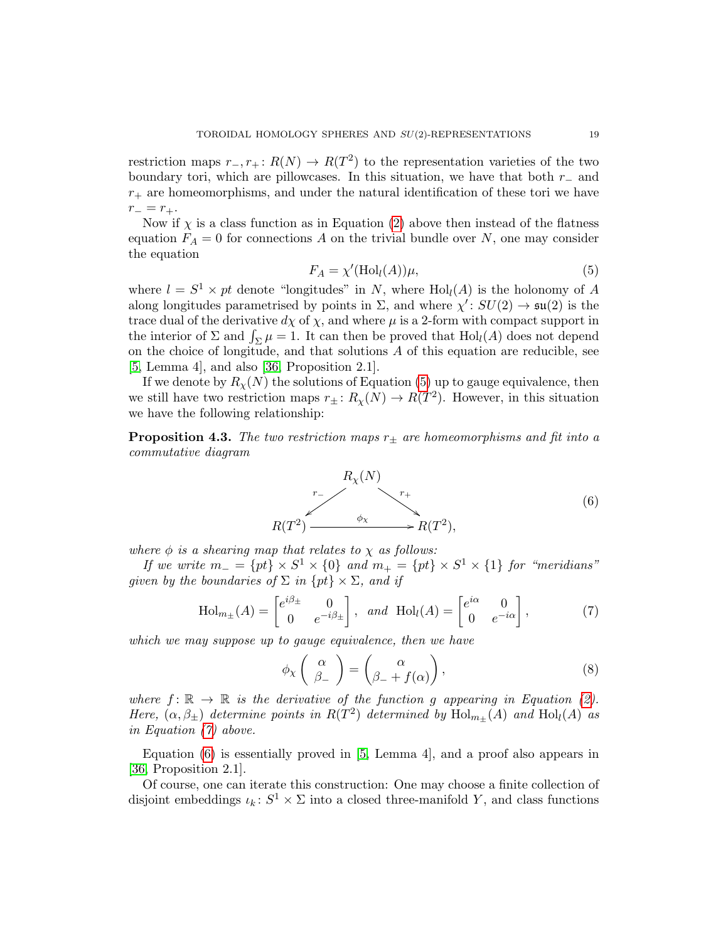restriction maps  $r_-, r_+ : R(N) \to R(T^2)$  to the representation varieties of the two boundary tori, which are pillowcases. In this situation, we have that both  $r_-\$  and  $r_{+}$  are homeomorphisms, and under the natural identification of these tori we have  $r_-=r_+$ .

Now if  $\chi$  is a class function as in Equation [\(2\)](#page-16-2) above then instead of the flatness equation  $F_A = 0$  for connections A on the trivial bundle over N, one may consider the equation

<span id="page-18-0"></span>
$$
F_A = \chi'(\text{Hol}_l(A))\mu,\tag{5}
$$

where  $l = S^1 \times pt$  denote "longitudes" in N, where  $\text{Hol}_l(A)$  is the holonomy of A along longitudes parametrised by points in  $\Sigma$ , and where  $\chi' : SU(2) \to \mathfrak{su}(2)$  is the trace dual of the derivative  $d\chi$  of  $\chi$ , and where  $\mu$  is a 2-form with compact support in the interior of  $\Sigma$  and  $\int_{\Sigma} \mu = 1$ . It can then be proved that  $\text{Hol}_{l}(A)$  does not depend on the choice of longitude, and that solutions A of this equation are reducible, see [\[5,](#page-24-19) Lemma 4], and also [\[36,](#page-25-4) Proposition 2.1].

If we denote by  $R_{\chi}(N)$  the solutions of Equation [\(5\)](#page-18-0) up to gauge equivalence, then we still have two restriction maps  $r_{\pm}$ :  $R_{\chi}(N) \to R(T^2)$ . However, in this situation we have the following relationship:

<span id="page-18-3"></span>**Proposition 4.3.** The two restriction maps  $r_{\pm}$  are homeomorphisms and fit into a commutative diagram



<span id="page-18-2"></span>where  $\phi$  is a shearing map that relates to  $\chi$  as follows:

If we write  $m_ - = \{ pt \} \times S^1 \times \{ 0 \}$  and  $m_ + = \{ pt \} \times S^1 \times \{ 1 \}$  for "meridians" given by the boundaries of  $\Sigma$  in  $\{pt\} \times \Sigma$ , and if

$$
\text{Hol}_{m_{\pm}}(A) = \begin{bmatrix} e^{i\beta_{\pm}} & 0\\ 0 & e^{-i\beta_{\pm}} \end{bmatrix}, \text{ and } \text{Hol}_{l}(A) = \begin{bmatrix} e^{i\alpha} & 0\\ 0 & e^{-i\alpha} \end{bmatrix}, \tag{7}
$$

<span id="page-18-4"></span><span id="page-18-1"></span>which we may suppose up to gauge equivalence, then we have

$$
\phi_{X}\left(\begin{array}{c} \alpha \\ \beta_{-} \end{array}\right) = \left(\begin{array}{c} \alpha \\ \beta_{-} + f(\alpha) \end{array}\right),\tag{8}
$$

where  $f: \mathbb{R} \to \mathbb{R}$  is the derivative of the function g appearing in Equation [\(2\)](#page-16-2). Here,  $(\alpha, \beta_{\pm})$  determine points in  $R(T^2)$  determined by  $Hol_{m_{\pm}}(A)$  and  $Hol_l(A)$  as in Equation [\(7\)](#page-18-1) above.

Equation [\(6\)](#page-18-2) is essentially proved in [\[5,](#page-24-19) Lemma 4], and a proof also appears in [\[36,](#page-25-4) Proposition 2.1].

Of course, one can iterate this construction: One may choose a finite collection of disjoint embeddings  $\iota_k: S^1 \times \Sigma$  into a closed three-manifold Y, and class functions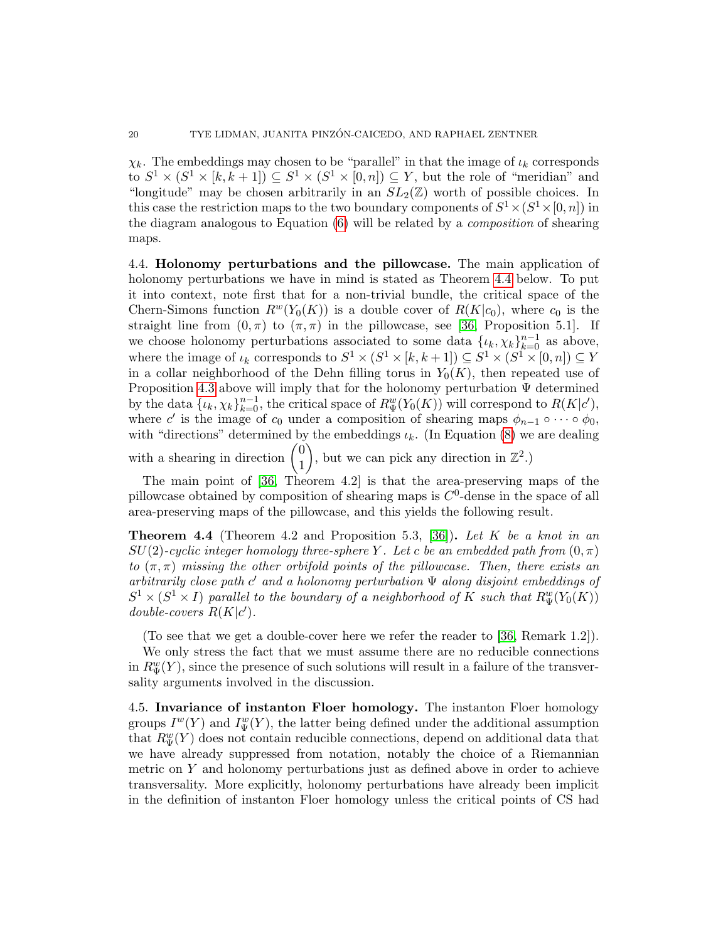$\chi_k$ . The embeddings may chosen to be "parallel" in that the image of  $\iota_k$  corresponds to  $S^1 \times (S^1 \times [k, k+1]) \subseteq S^1 \times (S^1 \times [0, n]) \subseteq Y$ , but the role of "meridian" and "longitude" may be chosen arbitrarily in an  $SL_2(\mathbb{Z})$  worth of possible choices. In this case the restriction maps to the two boundary components of  $S^1 \times (S^1 \times [0, n])$  in the diagram analogous to Equation [\(6\)](#page-18-2) will be related by a composition of shearing maps.

4.4. Holonomy perturbations and the pillowcase. The main application of holonomy perturbations we have in mind is stated as Theorem [4.4](#page-19-0) below. To put it into context, note first that for a non-trivial bundle, the critical space of the Chern-Simons function  $R^{w}(Y_0(K))$  is a double cover of  $R(K|c_0)$ , where  $c_0$  is the straight line from  $(0, \pi)$  to  $(\pi, \pi)$  in the pillowcase, see [\[36,](#page-25-4) Proposition 5.1]. If we choose holonomy perturbations associated to some data  $\{\iota_k, \chi_k\}_{k=0}^{n-1}$  as above, where the image of  $\iota_k$  corresponds to  $S^1 \times (S^1 \times [k, k+1]) \subseteq S^1 \times (S^1 \times [0, n]) \subseteq Y$ in a collar neighborhood of the Dehn filling torus in  $Y_0(K)$ , then repeated use of Proposition [4.3](#page-18-3) above will imply that for the holonomy perturbation  $\Psi$  determined by the data  $\{\iota_k, \chi_k\}_{k=0}^{n-1}$ , the critical space of  $R_{\Psi}^w(Y_0(K))$  will correspond to  $R(K|c')$ , where c' is the image of  $c_0$  under a composition of shearing maps  $\phi_{n-1} \circ \cdots \circ \phi_0$ , with "directions" determined by the embeddings  $\iota_k$ . (In Equation [\(8\)](#page-18-4) we are dealing

with a shearing in direction  $\begin{pmatrix} 0 \\ 1 \end{pmatrix}$ 1 ), but we can pick any direction in  $\mathbb{Z}^2$ .

The main point of [\[36,](#page-25-4) Theorem 4.2] is that the area-preserving maps of the pillowcase obtained by composition of shearing maps is  $C<sup>0</sup>$ -dense in the space of all area-preserving maps of the pillowcase, and this yields the following result.

<span id="page-19-0"></span>**Theorem 4.4** (Theorem 4.2 and Proposition 5.3, [\[36\]](#page-25-4)). Let K be a knot in an  $SU(2)$ -cyclic integer homology three-sphere Y. Let c be an embedded path from  $(0, \pi)$ to  $(\pi, \pi)$  missing the other orbifold points of the pillowcase. Then, there exists an arbitrarily close path  $c'$  and a holonomy perturbation  $\Psi$  along disjoint embeddings of  $S^1 \times (S^1 \times I)$  parallel to the boundary of a neighborhood of K such that  $R_{\Psi}^w(Y_0(K))$ double-covers  $R(K|c')$ .

(To see that we get a double-cover here we refer the reader to [\[36,](#page-25-4) Remark 1.2]). We only stress the fact that we must assume there are no reducible connections

in  $R_{\Psi}^w(Y)$ , since the presence of such solutions will result in a failure of the transversality arguments involved in the discussion.

<span id="page-19-1"></span>4.5. Invariance of instanton Floer homology. The instanton Floer homology groups  $I^w(Y)$  and  $I^w_{\Psi}(Y)$ , the latter being defined under the additional assumption that  $R_{\Psi}^w(Y)$  does not contain reducible connections, depend on additional data that we have already suppressed from notation, notably the choice of a Riemannian metric on  $Y$  and holonomy perturbations just as defined above in order to achieve transversality. More explicitly, holonomy perturbations have already been implicit in the definition of instanton Floer homology unless the critical points of CS had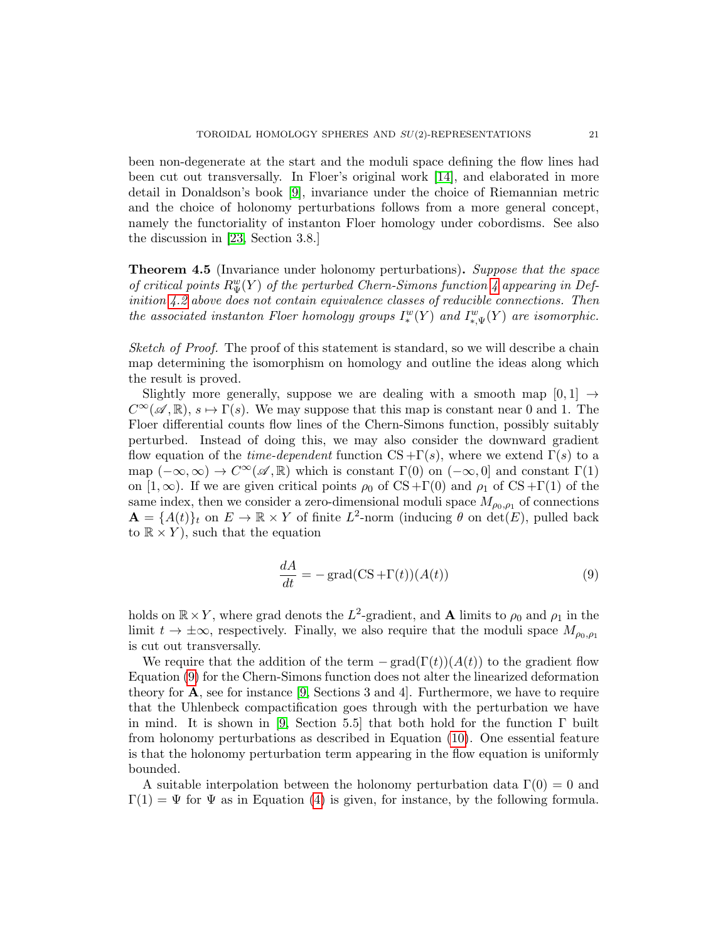been non-degenerate at the start and the moduli space defining the flow lines had been cut out transversally. In Floer's original work [\[14\]](#page-24-17), and elaborated in more detail in Donaldson's book [\[9\]](#page-24-18), invariance under the choice of Riemannian metric and the choice of holonomy perturbations follows from a more general concept, namely the functoriality of instanton Floer homology under cobordisms. See also the discussion in [\[23,](#page-24-22) Section 3.8.]

<span id="page-20-0"></span>**Theorem 4.5** (Invariance under holonomy perturbations). Suppose that the space of critical points  $R_{\Psi}^w(Y)$  of the perturbed Chern-Simons function [4](#page-17-1) appearing in Definition [4.2](#page-17-2) above does not contain equivalence classes of reducible connections. Then the associated instanton Floer homology groups  $I^w_*(Y)$  and  $I^w_{*,\Psi}(Y)$  are isomorphic.

Sketch of Proof. The proof of this statement is standard, so we will describe a chain map determining the isomorphism on homology and outline the ideas along which the result is proved.

Slightly more generally, suppose we are dealing with a smooth map  $[0, 1] \rightarrow$  $C^{\infty}(\mathscr{A}, \mathbb{R}), s \mapsto \Gamma(s)$ . We may suppose that this map is constant near 0 and 1. The Floer differential counts flow lines of the Chern-Simons function, possibly suitably perturbed. Instead of doing this, we may also consider the downward gradient flow equation of the *time-dependent* function  $CS + \Gamma(s)$ , where we extend  $\Gamma(s)$  to a map  $(-\infty, \infty) \to C^{\infty}(\mathscr{A}, \mathbb{R})$  which is constant  $\Gamma(0)$  on  $(-\infty, 0]$  and constant  $\Gamma(1)$ on [1,  $\infty$ ). If we are given critical points  $\rho_0$  of CS +Γ(0) and  $\rho_1$  of CS +Γ(1) of the same index, then we consider a zero-dimensional moduli space  $M_{\rho_0,\rho_1}$  of connections  $\mathbf{A} = \{A(t)\}_t$  on  $E \to \mathbb{R} \times Y$  of finite  $L^2$ -norm (inducing  $\theta$  on  $\det(E)$ , pulled back to  $\mathbb{R} \times Y$ , such that the equation

<span id="page-20-1"></span>
$$
\frac{dA}{dt} = -\operatorname{grad}(CS + \Gamma(t))(A(t))\tag{9}
$$

holds on  $\mathbb{R} \times Y$ , where grad denots the  $L^2$ -gradient, and **A** limits to  $\rho_0$  and  $\rho_1$  in the limit  $t \to \pm \infty$ , respectively. Finally, we also require that the moduli space  $M_{\rho_0,\rho_1}$ is cut out transversally.

We require that the addition of the term  $-\text{grad}(\Gamma(t))(A(t))$  to the gradient flow Equation [\(9\)](#page-20-1) for the Chern-Simons function does not alter the linearized deformation theory for  $\bf{A}$ , see for instance [\[9,](#page-24-18) Sections 3 and 4]. Furthermore, we have to require that the Uhlenbeck compactification goes through with the perturbation we have in mind. It is shown in [\[9,](#page-24-18) Section 5.5] that both hold for the function Γ built from holonomy perturbations as described in Equation [\(10\)](#page-21-0). One essential feature is that the holonomy perturbation term appearing in the flow equation is uniformly bounded.

A suitable interpolation between the holonomy perturbation data  $\Gamma(0) = 0$  and  $\Gamma(1) = \Psi$  for  $\Psi$  as in Equation [\(4\)](#page-17-1) is given, for instance, by the following formula.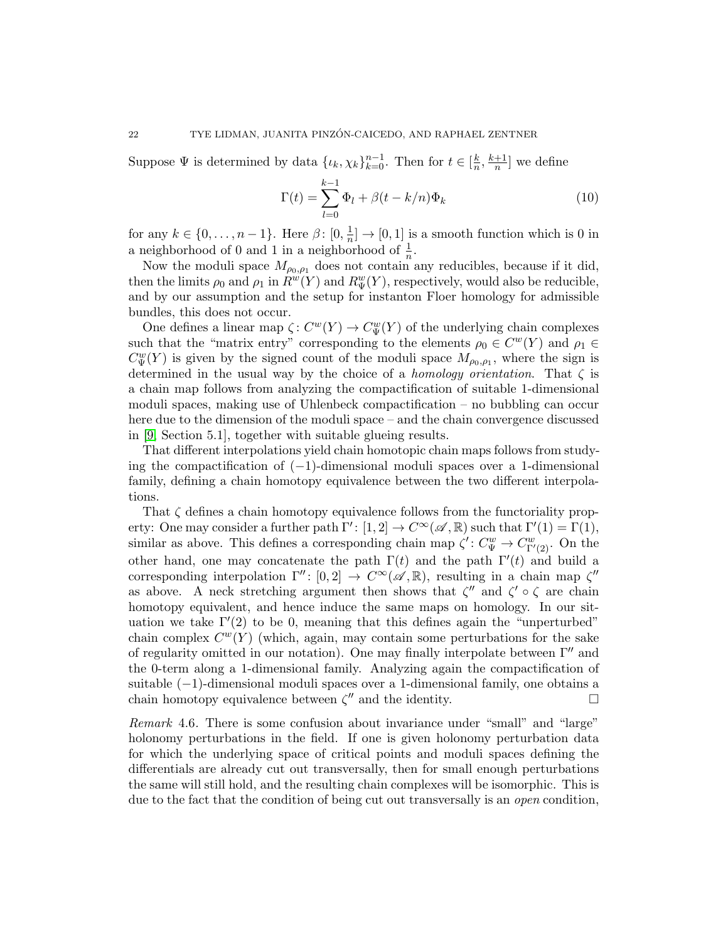Suppose  $\Psi$  is determined by data  $\{\iota_k, \chi_k\}_{k=0}^{n-1}$ . Then for  $t \in [\frac{k}{n}]$  $\frac{k}{n}, \frac{k+1}{n}$  $\frac{+1}{n}$  we define

<span id="page-21-0"></span>
$$
\Gamma(t) = \sum_{l=0}^{k-1} \Phi_l + \beta(t - k/n)\Phi_k
$$
\n(10)

for any  $k \in \{0, ..., n-1\}$ . Here  $\beta$ :  $[0, \frac{1}{n}]$  $\frac{1}{n}] \rightarrow [0, 1]$  is a smooth function which is 0 in a neighborhood of 0 and 1 in a neighborhood of  $\frac{1}{n}$ .

Now the moduli space  $M_{\rho_0,\rho_1}$  does not contain any reducibles, because if it did, then the limits  $\rho_0$  and  $\rho_1$  in  $\hat{R}^w(Y)$  and  $R^w_\Psi(Y)$ , respectively, would also be reducible, and by our assumption and the setup for instanton Floer homology for admissible bundles, this does not occur.

One defines a linear map  $\zeta: C^w(Y) \to C^w_{\Psi}(Y)$  of the underlying chain complexes such that the "matrix entry" corresponding to the elements  $\rho_0 \in C^w(Y)$  and  $\rho_1 \in$  $C_{\Psi}^{w}(Y)$  is given by the signed count of the moduli space  $M_{\rho_0,\rho_1}$ , where the sign is determined in the usual way by the choice of a *homology orientation*. That  $\zeta$  is a chain map follows from analyzing the compactification of suitable 1-dimensional moduli spaces, making use of Uhlenbeck compactification – no bubbling can occur here due to the dimension of the moduli space – and the chain convergence discussed in [\[9,](#page-24-18) Section 5.1], together with suitable glueing results.

That different interpolations yield chain homotopic chain maps follows from studying the compactification of (−1)-dimensional moduli spaces over a 1-dimensional family, defining a chain homotopy equivalence between the two different interpolations.

That  $\zeta$  defines a chain homotopy equivalence follows from the functoriality property: One may consider a further path  $\Gamma' : [1, 2] \to C^{\infty}(\mathscr{A}, \mathbb{R})$  such that  $\Gamma'(1) = \Gamma(1)$ , similar as above. This defines a corresponding chain map  $\zeta' : C^w_{\Psi} \to C^w_{\Gamma'(2)}$ . On the other hand, one may concatenate the path  $\Gamma(t)$  and the path  $\Gamma'(t)$  and build a corresponding interpolation  $\Gamma'' : [0, 2] \to C^{\infty}(\mathscr{A}, \mathbb{R})$ , resulting in a chain map  $\zeta''$ as above. A neck stretching argument then shows that  $\zeta''$  and  $\zeta' \circ \zeta$  are chain homotopy equivalent, and hence induce the same maps on homology. In our situation we take  $\Gamma'(2)$  to be 0, meaning that this defines again the "unperturbed" chain complex  $C^w(Y)$  (which, again, may contain some perturbations for the sake of regularity omitted in our notation). One may finally interpolate between  $\Gamma''$  and the 0-term along a 1-dimensional family. Analyzing again the compactification of suitable (−1)-dimensional moduli spaces over a 1-dimensional family, one obtains a chain homotopy equivalence between  $\zeta''$  and the identity.

Remark 4.6. There is some confusion about invariance under "small" and "large" holonomy perturbations in the field. If one is given holonomy perturbation data for which the underlying space of critical points and moduli spaces defining the differentials are already cut out transversally, then for small enough perturbations the same will still hold, and the resulting chain complexes will be isomorphic. This is due to the fact that the condition of being cut out transversally is an *open* condition,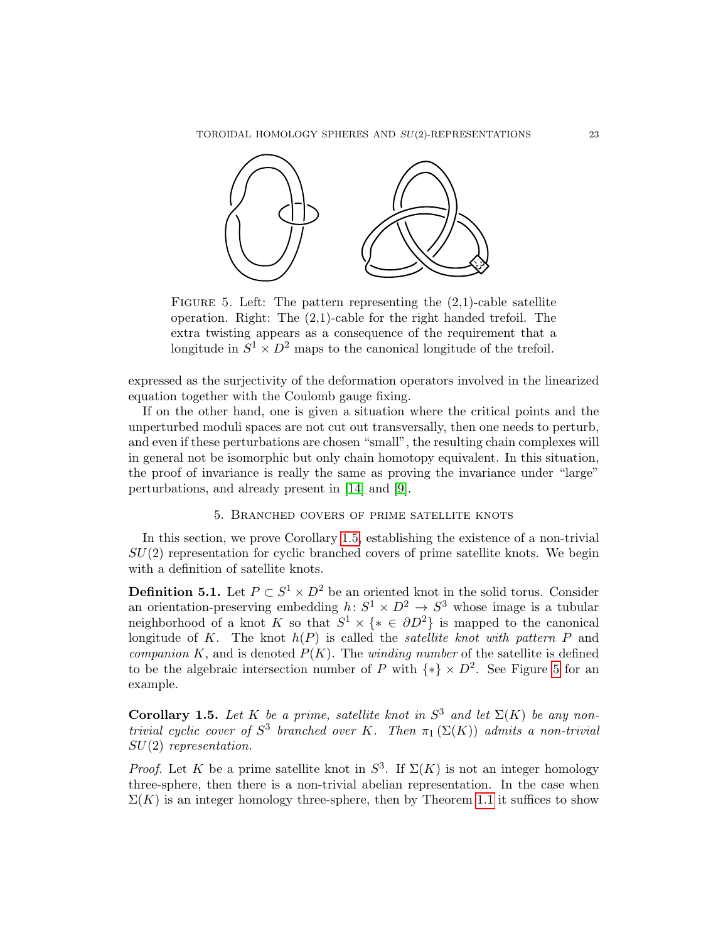

<span id="page-22-1"></span>FIGURE 5. Left: The pattern representing the  $(2,1)$ -cable satellite operation. Right: The (2,1)-cable for the right handed trefoil. The extra twisting appears as a consequence of the requirement that a longitude in  $S^1 \times D^2$  maps to the canonical longitude of the trefoil.

expressed as the surjectivity of the deformation operators involved in the linearized equation together with the Coulomb gauge fixing.

If on the other hand, one is given a situation where the critical points and the unperturbed moduli spaces are not cut out transversally, then one needs to perturb, and even if these perturbations are chosen "small", the resulting chain complexes will in general not be isomorphic but only chain homotopy equivalent. In this situation, the proof of invariance is really the same as proving the invariance under "large" perturbations, and already present in [\[14\]](#page-24-17) and [\[9\]](#page-24-18).

## 5. Branched covers of prime satellite knots

<span id="page-22-0"></span>In this section, we prove Corollary [1.5,](#page-3-1) establishing the existence of a non-trivial  $SU(2)$  representation for cyclic branched covers of prime satellite knots. We begin with a definition of satellite knots.

**Definition 5.1.** Let  $P \subset S^1 \times D^2$  be an oriented knot in the solid torus. Consider an orientation-preserving embedding  $h: S^1 \times D^2 \to S^3$  whose image is a tubular neighborhood of a knot K so that  $S^1 \times \{ \ast \in \partial D^2 \}$  is mapped to the canonical longitude of K. The knot  $h(P)$  is called the *satellite knot with pattern P* and companion K, and is denoted  $P(K)$ . The winding number of the satellite is defined to be the algebraic intersection number of P with  $\{*\}\times D^2$ . See Figure [5](#page-22-1) for an example.

**Corollary 1.5.** Let K be a prime, satellite knot in  $S^3$  and let  $\Sigma(K)$  be any nontrivial cyclic cover of  $S^3$  branched over K. Then  $\pi_1(\Sigma(K))$  admits a non-trivial SU(2) representation.

*Proof.* Let K be a prime satellite knot in  $S^3$ . If  $\Sigma(K)$  is not an integer homology three-sphere, then there is a non-trivial abelian representation. In the case when  $\Sigma(K)$  is an integer homology three-sphere, then by Theorem [1.1](#page-1-0) it suffices to show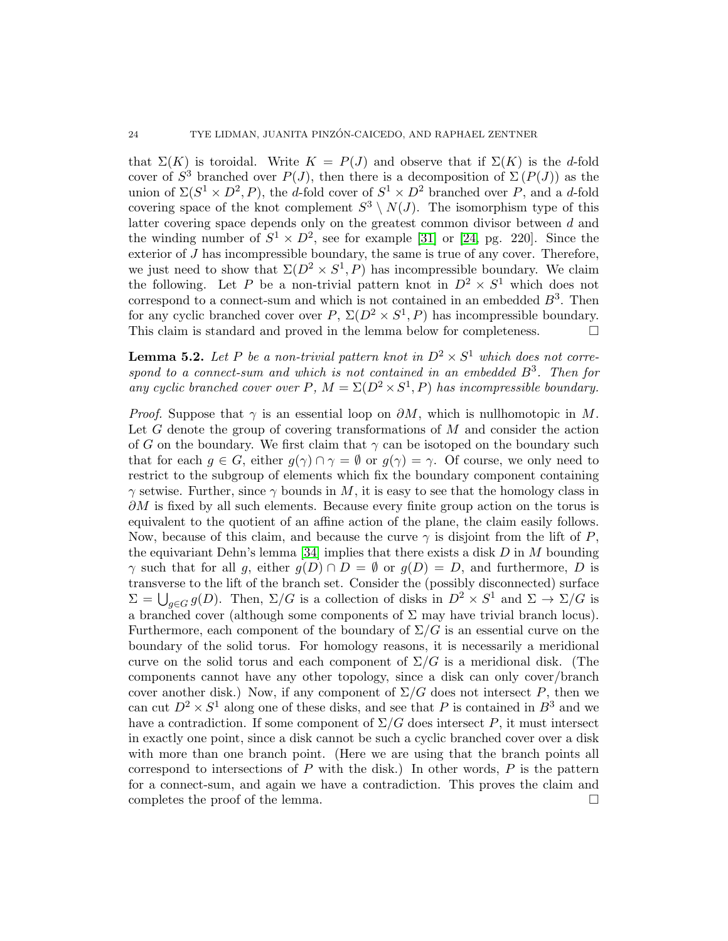that  $\Sigma(K)$  is toroidal. Write  $K = P(J)$  and observe that if  $\Sigma(K)$  is the d-fold cover of  $S^3$  branched over  $P(J)$ , then there is a decomposition of  $\Sigma(P(J))$  as the union of  $\Sigma(S^1 \times D^2, P)$ , the d-fold cover of  $S^1 \times D^2$  branched over P, and a d-fold covering space of the knot complement  $S^3 \setminus N(J)$ . The isomorphism type of this latter covering space depends only on the greatest common divisor between d and the winding number of  $S^1 \times D^2$ , see for example [\[31\]](#page-25-10) or [\[24,](#page-25-11) pg. 220]. Since the exterior of  $J$  has incompressible boundary, the same is true of any cover. Therefore, we just need to show that  $\Sigma(D^2 \times S^1, P)$  has incompressible boundary. We claim the following. Let P be a non-trivial pattern knot in  $D^2 \times S^1$  which does not correspond to a connect-sum and which is not contained in an embedded  $B^3$ . Then for any cyclic branched cover over  $P$ ,  $\Sigma(D^2 \times S^1, P)$  has incompressible boundary. This claim is standard and proved in the lemma below for completeness.

**Lemma 5.2.** Let P be a non-trivial pattern knot in  $D^2 \times S^1$  which does not correspond to a connect-sum and which is not contained in an embedded  $B^3$ . Then for any cyclic branched cover over P,  $M = \Sigma(D^2 \times S^1, P)$  has incompressible boundary.

*Proof.* Suppose that  $\gamma$  is an essential loop on  $\partial M$ , which is nullhomotopic in M. Let G denote the group of covering transformations of M and consider the action of G on the boundary. We first claim that  $\gamma$  can be isotoped on the boundary such that for each  $q \in G$ , either  $q(\gamma) \cap \gamma = \emptyset$  or  $q(\gamma) = \gamma$ . Of course, we only need to restrict to the subgroup of elements which fix the boundary component containing  $\gamma$  setwise. Further, since  $\gamma$  bounds in M, it is easy to see that the homology class in  $\partial M$  is fixed by all such elements. Because every finite group action on the torus is equivalent to the quotient of an affine action of the plane, the claim easily follows. Now, because of this claim, and because the curve  $\gamma$  is disjoint from the lift of P, the equivariant Dehn's lemma [\[34\]](#page-25-12) implies that there exists a disk  $D$  in M bounding  $\gamma$  such that for all g, either  $g(D) \cap D = \emptyset$  or  $g(D) = D$ , and furthermore, D is transverse to the lift of the branch set. Consider the (possibly disconnected) surface  $\Sigma = \bigcup_{g \in G} g(D)$ . Then,  $\Sigma/G$  is a collection of disks in  $D^2 \times S^1$  and  $\Sigma \to \Sigma/G$  is a branched cover (although some components of  $\Sigma$  may have trivial branch locus). Furthermore, each component of the boundary of  $\Sigma/G$  is an essential curve on the boundary of the solid torus. For homology reasons, it is necessarily a meridional curve on the solid torus and each component of  $\Sigma/G$  is a meridional disk. (The components cannot have any other topology, since a disk can only cover/branch cover another disk.) Now, if any component of  $\Sigma/G$  does not intersect P, then we can cut  $D^2 \times S^1$  along one of these disks, and see that P is contained in  $B^3$  and we have a contradiction. If some component of  $\Sigma/G$  does intersect P, it must intersect in exactly one point, since a disk cannot be such a cyclic branched cover over a disk with more than one branch point. (Here we are using that the branch points all correspond to intersections of  $P$  with the disk.) In other words,  $P$  is the pattern for a connect-sum, and again we have a contradiction. This proves the claim and completes the proof of the lemma.  $\Box$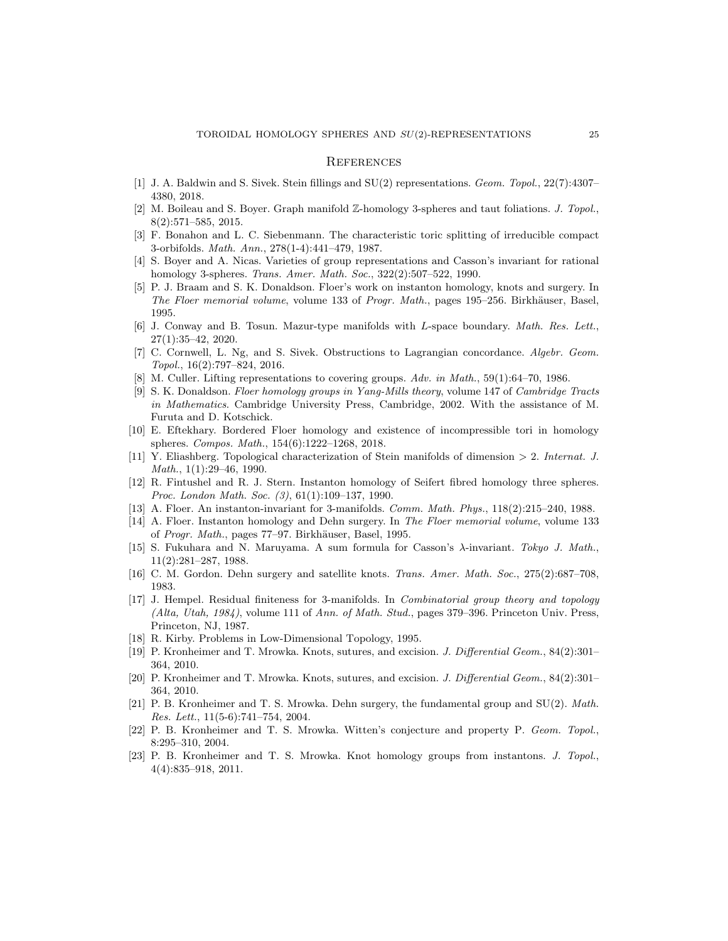#### **REFERENCES**

- <span id="page-24-6"></span>[1] J. A. Baldwin and S. Sivek. Stein fillings and SU(2) representations. Geom. Topol., 22(7):4307– 4380, 2018.
- <span id="page-24-14"></span>[2] M. Boileau and S. Boyer. Graph manifold Z-homology 3-spheres and taut foliations. J. Topol., 8(2):571–585, 2015.
- <span id="page-24-13"></span>[3] F. Bonahon and L. C. Siebenmann. The characteristic toric splitting of irreducible compact 3-orbifolds. Math. Ann., 278(1-4):441–479, 1987.
- <span id="page-24-16"></span>[4] S. Boyer and A. Nicas. Varieties of group representations and Casson's invariant for rational homology 3-spheres. Trans. Amer. Math. Soc., 322(2):507–522, 1990.
- <span id="page-24-19"></span>[5] P. J. Braam and S. K. Donaldson. Floer's work on instanton homology, knots and surgery. In The Floer memorial volume, volume 133 of Progr. Math., pages 195–256. Birkhäuser, Basel, 1995.
- <span id="page-24-11"></span>[6] J. Conway and B. Tosun. Mazur-type manifolds with L-space boundary. Math. Res. Lett., 27(1):35–42, 2020.
- <span id="page-24-4"></span>[7] C. Cornwell, L. Ng, and S. Sivek. Obstructions to Lagrangian concordance. Algebr. Geom. Topol., 16(2):797–824, 2016.
- <span id="page-24-8"></span>[8] M. Culler. Lifting representations to covering groups. Adv. in Math., 59(1):64–70, 1986.
- <span id="page-24-18"></span>[9] S. K. Donaldson. Floer homology groups in Yang-Mills theory, volume 147 of Cambridge Tracts in Mathematics. Cambridge University Press, Cambridge, 2002. With the assistance of M. Furuta and D. Kotschick.
- <span id="page-24-7"></span>[10] E. Eftekhary. Bordered Floer homology and existence of incompressible tori in homology spheres. Compos. Math., 154(6):1222–1268, 2018.
- <span id="page-24-12"></span>[11] Y. Eliashberg. Topological characterization of Stein manifolds of dimension > 2. Internat. J. Math., 1(1):29–46, 1990.
- <span id="page-24-3"></span>[12] R. Fintushel and R. J. Stern. Instanton homology of Seifert fibred homology three spheres. Proc. London Math. Soc. (3), 61(1):109–137, 1990.
- <span id="page-24-21"></span>[13] A. Floer. An instanton-invariant for 3-manifolds. Comm. Math. Phys., 118(2):215-240, 1988.
- <span id="page-24-17"></span>[14] A. Floer. Instanton homology and Dehn surgery. In The Floer memorial volume, volume 133 of Progr. Math., pages 77–97. Birkhäuser, Basel, 1995.
- <span id="page-24-15"></span>[15] S. Fukuhara and N. Maruyama. A sum formula for Casson's λ-invariant. Tokyo J. Math., 11(2):281–287, 1988.
- <span id="page-24-10"></span>[16] C. M. Gordon. Dehn surgery and satellite knots. Trans. Amer. Math. Soc., 275(2):687–708, 1983.
- <span id="page-24-0"></span>[17] J. Hempel. Residual finiteness for 3-manifolds. In *Combinatorial group theory and topology* (Alta, Utah, 1984), volume 111 of Ann. of Math. Stud., pages 379–396. Princeton Univ. Press, Princeton, NJ, 1987.
- <span id="page-24-1"></span>[18] R. Kirby. Problems in Low-Dimensional Topology, 1995.
- <span id="page-24-9"></span>[19] P. Kronheimer and T. Mrowka. Knots, sutures, and excision. J. Differential Geom., 84(2):301– 364, 2010.
- <span id="page-24-20"></span>[20] P. Kronheimer and T. Mrowka. Knots, sutures, and excision. J. Differential Geom., 84(2):301-364, 2010.
- <span id="page-24-5"></span>[21] P. B. Kronheimer and T. S. Mrowka. Dehn surgery, the fundamental group and SU(2). Math. Res. Lett., 11(5-6):741–754, 2004.
- <span id="page-24-2"></span>[22] P. B. Kronheimer and T. S. Mrowka. Witten's conjecture and property P. Geom. Topol., 8:295–310, 2004.
- <span id="page-24-22"></span>[23] P. B. Kronheimer and T. S. Mrowka. Knot homology groups from instantons. J. Topol., 4(4):835–918, 2011.